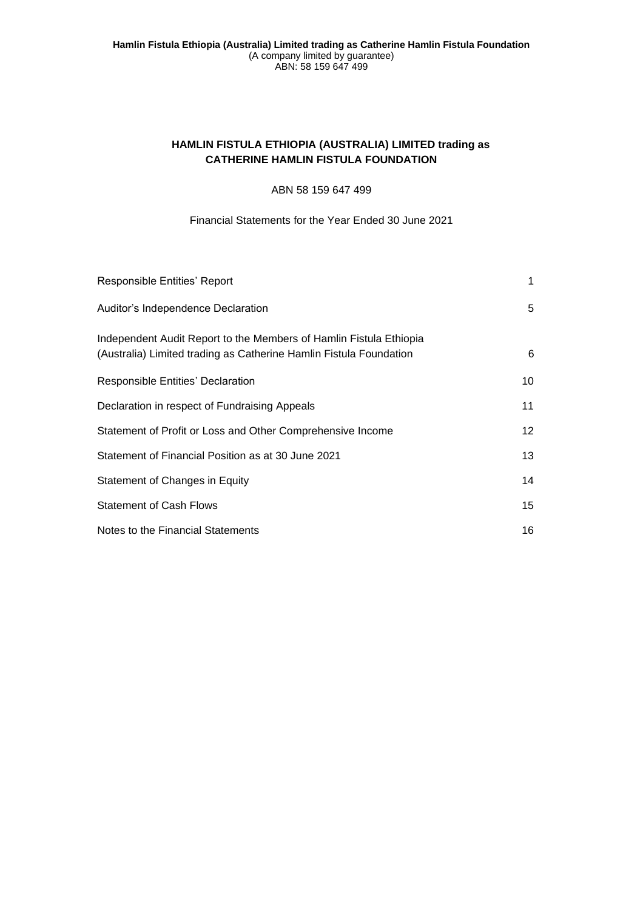## **HAMLIN FISTULA ETHIOPIA (AUSTRALIA) LIMITED trading as CATHERINE HAMLIN FISTULA FOUNDATION**

#### ABN 58 159 647 499

Financial Statements for the Year Ended 30 June 2021

| Responsible Entities' Report                                                                                                             | 1                |
|------------------------------------------------------------------------------------------------------------------------------------------|------------------|
| Auditor's Independence Declaration                                                                                                       | 5                |
| Independent Audit Report to the Members of Hamlin Fistula Ethiopia<br>(Australia) Limited trading as Catherine Hamlin Fistula Foundation | 6                |
| Responsible Entities' Declaration                                                                                                        | 10               |
| Declaration in respect of Fundraising Appeals                                                                                            | 11               |
| Statement of Profit or Loss and Other Comprehensive Income                                                                               | 12 <sup>2</sup>  |
| Statement of Financial Position as at 30 June 2021                                                                                       | 13               |
| Statement of Changes in Equity                                                                                                           | 14               |
| <b>Statement of Cash Flows</b>                                                                                                           | 15 <sub>15</sub> |
| Notes to the Financial Statements                                                                                                        | 16               |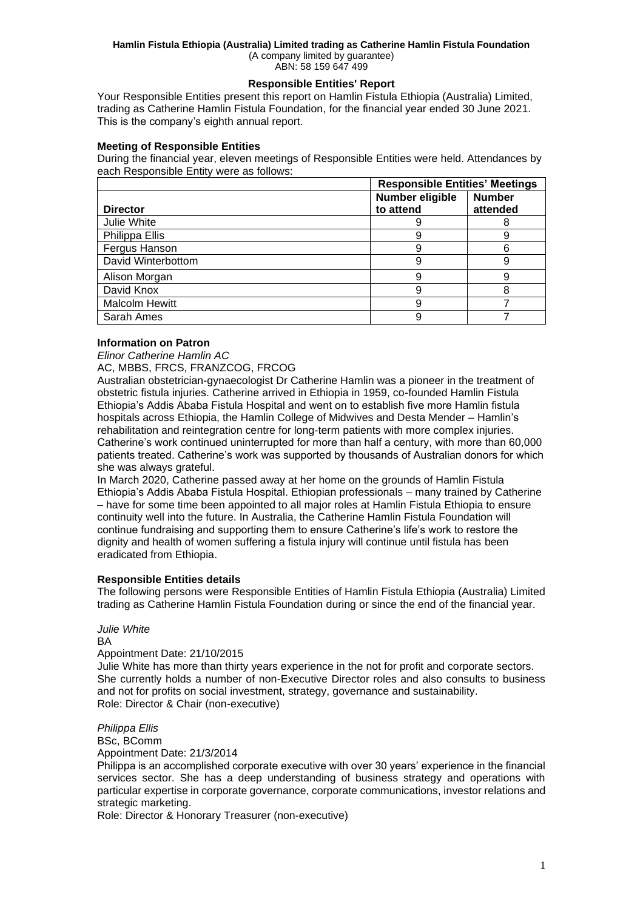#### **Hamlin Fistula Ethiopia (Australia) Limited trading as Catherine Hamlin Fistula Foundation**

(A company limited by guarantee)

ABN: 58 159 647 499

#### **Responsible Entities' Report**

Your Responsible Entities present this report on Hamlin Fistula Ethiopia (Australia) Limited, trading as Catherine Hamlin Fistula Foundation, for the financial year ended 30 June 2021. This is the company's eighth annual report.

#### **Meeting of Responsible Entities**

During the financial year, eleven meetings of Responsible Entities were held. Attendances by each Responsible Entity were as follows:

|                       | <b>Responsible Entities' Meetings</b> |               |  |
|-----------------------|---------------------------------------|---------------|--|
|                       | Number eligible                       | <b>Number</b> |  |
| <b>Director</b>       | to attend                             | attended      |  |
| Julie White           |                                       | 8             |  |
| Philippa Ellis        |                                       | 9             |  |
| Fergus Hanson         | 9                                     | 6             |  |
| David Winterbottom    | 9                                     | 9             |  |
| Alison Morgan         | 9                                     | 9             |  |
| David Knox            | 9                                     | 8             |  |
| <b>Malcolm Hewitt</b> | 9                                     |               |  |
| Sarah Ames            | 9                                     |               |  |

#### **Information on Patron**

*Elinor Catherine Hamlin AC*

AC, MBBS, FRCS, FRANZCOG, FRCOG

Australian obstetrician-gynaecologist Dr Catherine Hamlin was a pioneer in the treatment of obstetric fistula injuries. Catherine arrived in Ethiopia in 1959, co-founded Hamlin Fistula Ethiopia's Addis Ababa Fistula Hospital and went on to establish five more Hamlin fistula hospitals across Ethiopia, the Hamlin College of Midwives and Desta Mender – Hamlin's rehabilitation and reintegration centre for long-term patients with more complex injuries. Catherine's work continued uninterrupted for more than half a century, with more than 60,000 patients treated. Catherine's work was supported by thousands of Australian donors for which she was always grateful.

In March 2020, Catherine passed away at her home on the grounds of Hamlin Fistula Ethiopia's Addis Ababa Fistula Hospital. Ethiopian professionals – many trained by Catherine – have for some time been appointed to all major roles at Hamlin Fistula Ethiopia to ensure continuity well into the future. In Australia, the Catherine Hamlin Fistula Foundation will continue fundraising and supporting them to ensure Catherine's life's work to restore the dignity and health of women suffering a fistula injury will continue until fistula has been eradicated from Ethiopia.

#### **Responsible Entities details**

The following persons were Responsible Entities of Hamlin Fistula Ethiopia (Australia) Limited trading as Catherine Hamlin Fistula Foundation during or since the end of the financial year.

# *Julie White*

## **BA**

Appointment Date: 21/10/2015

Julie White has more than thirty years experience in the not for profit and corporate sectors. She currently holds a number of non-Executive Director roles and also consults to business and not for profits on social investment, strategy, governance and sustainability. Role: Director & Chair (non-executive)

*Philippa Ellis*  BSc, BComm Appointment Date: 21/3/2014

Philippa is an accomplished corporate executive with over 30 years' experience in the financial services sector. She has a deep understanding of business strategy and operations with particular expertise in corporate governance, corporate communications, investor relations and strategic marketing.

Role: Director & Honorary Treasurer (non-executive)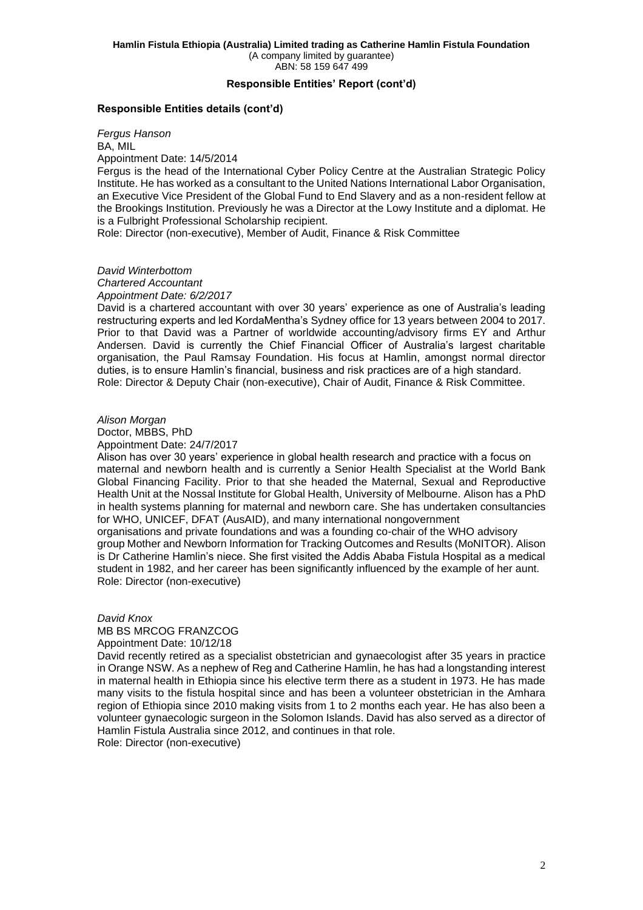(A company limited by guarantee)

ABN: 58 159 647 499

#### **Responsible Entities' Report (cont'd)**

#### **Responsible Entities details (cont'd)**

*Fergus Hanson* BA, MIL

Appointment Date: 14/5/2014

Fergus is the head of the International Cyber Policy Centre at the Australian Strategic Policy Institute. He has worked as a consultant to the United Nations International Labor Organisation, an Executive Vice President of the Global Fund to End Slavery and as a non-resident fellow at the Brookings Institution. Previously he was a Director at the Lowy Institute and a diplomat. He is a Fulbright Professional Scholarship recipient.

Role: Director (non-executive), Member of Audit, Finance & Risk Committee

#### *David Winterbottom Chartered Accountant Appointment Date: 6/2/2017*

David is a chartered accountant with over 30 years' experience as one of Australia's leading restructuring experts and led KordaMentha's Sydney office for 13 years between 2004 to 2017. Prior to that David was a Partner of worldwide accounting/advisory firms EY and Arthur Andersen. David is currently the Chief Financial Officer of Australia's largest charitable organisation, the Paul Ramsay Foundation. His focus at Hamlin, amongst normal director duties, is to ensure Hamlin's financial, business and risk practices are of a high standard*.* Role: Director & Deputy Chair (non-executive), Chair of Audit, Finance & Risk Committee.

#### *Alison Morgan*

Doctor, MBBS, PhD Appointment Date: 24/7/2017

Alison has over 30 years' experience in global health research and practice with a focus on maternal and newborn health and is currently a Senior Health Specialist at the World Bank Global Financing Facility. Prior to that she headed the Maternal, Sexual and Reproductive Health Unit at the Nossal Institute for Global Health, University of Melbourne. Alison has a PhD in health systems planning for maternal and newborn care. She has undertaken consultancies for WHO, UNICEF, DFAT (AusAID), and many international nongovernment

organisations and private foundations and was a founding co-chair of the WHO advisory group Mother and Newborn Information for Tracking Outcomes and Results (MoNITOR). Alison is Dr Catherine Hamlin's niece. She first visited the Addis Ababa Fistula Hospital as a medical student in 1982, and her career has been significantly influenced by the example of her aunt. Role: Director (non-executive)

#### *David Knox*

MB BS MRCOG FRANZCOG

Appointment Date: 10/12/18

David recently retired as a specialist obstetrician and gynaecologist after 35 years in practice in Orange NSW. As a nephew of Reg and Catherine Hamlin, he has had a longstanding interest in maternal health in Ethiopia since his elective term there as a student in 1973. He has made many visits to the fistula hospital since and has been a volunteer obstetrician in the Amhara region of Ethiopia since 2010 making visits from 1 to 2 months each year. He has also been a volunteer gynaecologic surgeon in the Solomon Islands. David has also served as a director of Hamlin Fistula Australia since 2012, and continues in that role.

Role: Director (non-executive)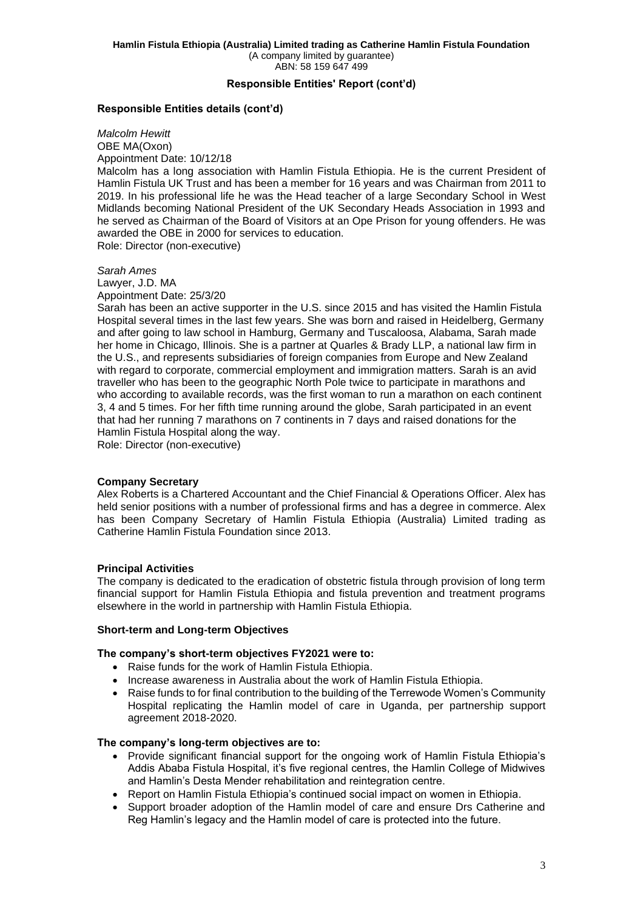(A company limited by guarantee)

#### ABN: 58 159 647 499

#### **Responsible Entities' Report (cont'd)**

#### **Responsible Entities details (cont'd)**

*Malcolm Hewitt* OBE MA(Oxon) Appointment Date: 10/12/18

Malcolm has a long association with Hamlin Fistula Ethiopia. He is the current President of Hamlin Fistula UK Trust and has been a member for 16 years and was Chairman from 2011 to 2019. In his professional life he was the Head teacher of a large Secondary School in West Midlands becoming National President of the UK Secondary Heads Association in 1993 and he served as Chairman of the Board of Visitors at an Ope Prison for young offenders. He was awarded the OBE in 2000 for services to education. Role: Director (non-executive)

*Sarah Ames*

Lawyer, J.D. MA Appointment Date: 25/3/20

Sarah has been an active supporter in the U.S. since 2015 and has visited the Hamlin Fistula Hospital several times in the last few years. She was born and raised in Heidelberg, Germany and after going to law school in Hamburg, Germany and Tuscaloosa, Alabama, Sarah made her home in Chicago, Illinois. She is a partner at Quarles & Brady LLP, a national law firm in the U.S., and represents subsidiaries of foreign companies from Europe and New Zealand with regard to corporate, commercial employment and immigration matters. Sarah is an avid traveller who has been to the geographic North Pole twice to participate in marathons and who according to available records, was the first woman to run a marathon on each continent 3, 4 and 5 times. For her fifth time running around the globe, Sarah participated in an event that had her running 7 marathons on 7 continents in 7 days and raised donations for the Hamlin Fistula Hospital along the way.

Role: Director (non-executive)

#### **Company Secretary**

Alex Roberts is a Chartered Accountant and the Chief Financial & Operations Officer. Alex has held senior positions with a number of professional firms and has a degree in commerce. Alex has been Company Secretary of Hamlin Fistula Ethiopia (Australia) Limited trading as Catherine Hamlin Fistula Foundation since 2013.

#### **Principal Activities**

The company is dedicated to the eradication of obstetric fistula through provision of long term financial support for Hamlin Fistula Ethiopia and fistula prevention and treatment programs elsewhere in the world in partnership with Hamlin Fistula Ethiopia.

## **Short-term and Long-term Objectives**

#### **The company's short-term objectives FY2021 were to:**

- Raise funds for the work of Hamlin Fistula Ethiopia.
- Increase awareness in Australia about the work of Hamlin Fistula Ethiopia.
- Raise funds to for final contribution to the building of the Terrewode Women's Community Hospital replicating the Hamlin model of care in Uganda, per partnership support agreement 2018-2020.

#### **The company's long-term objectives are to:**

- Provide significant financial support for the ongoing work of Hamlin Fistula Ethiopia's Addis Ababa Fistula Hospital, it's five regional centres, the Hamlin College of Midwives and Hamlin's Desta Mender rehabilitation and reintegration centre.
- Report on Hamlin Fistula Ethiopia's continued social impact on women in Ethiopia.
- Support broader adoption of the Hamlin model of care and ensure Drs Catherine and Reg Hamlin's legacy and the Hamlin model of care is protected into the future.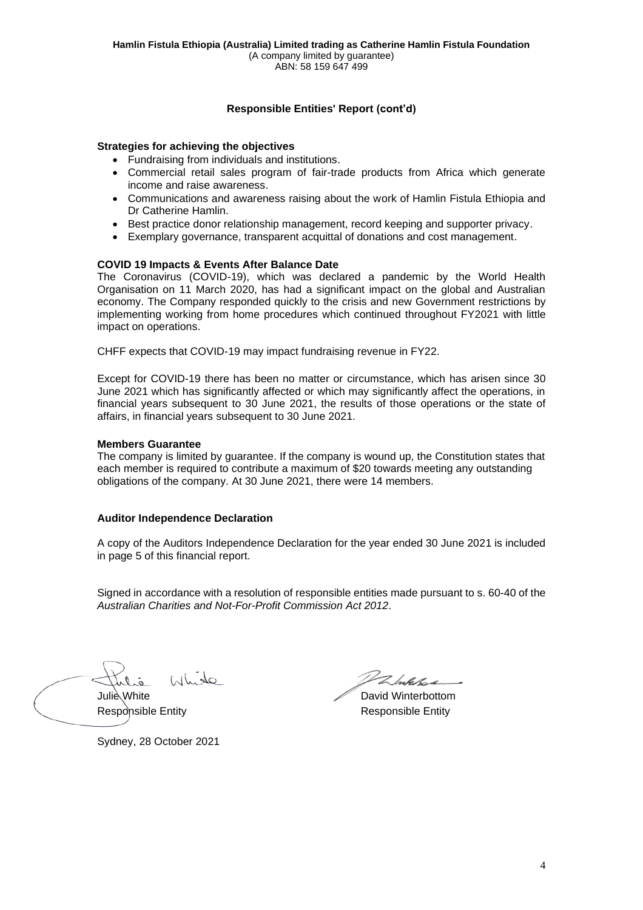## **Responsible Entities' Report (cont'd)**

#### **Strategies for achieving the objectives**

- Fundraising from individuals and institutions.
- Commercial retail sales program of fair-trade products from Africa which generate income and raise awareness.
- Communications and awareness raising about the work of Hamlin Fistula Ethiopia and Dr Catherine Hamlin.
- Best practice donor relationship management, record keeping and supporter privacy.
- Exemplary governance, transparent acquittal of donations and cost management.

#### **COVID 19 Impacts & Events After Balance Date**

The Coronavirus (COVID-19), which was declared a pandemic by the World Health Organisation on 11 March 2020, has had a significant impact on the global and Australian economy. The Company responded quickly to the crisis and new Government restrictions by implementing working from home procedures which continued throughout FY2021 with little impact on operations.

CHFF expects that COVID-19 may impact fundraising revenue in FY22.

Except for COVID-19 there has been no matter or circumstance, which has arisen since 30 June 2021 which has significantly affected or which may significantly affect the operations, in financial years subsequent to 30 June 2021, the results of those operations or the state of affairs, in financial years subsequent to 30 June 2021.

#### **Members Guarantee**

The company is limited by guarantee. If the company is wound up, the Constitution states that each member is required to contribute a maximum of \$20 towards meeting any outstanding obligations of the company. At 30 June 2021, there were 14 members.

#### **Auditor Independence Declaration**

A copy of the Auditors Independence Declaration for the year ended 30 June 2021 is included in page 5 of this financial report.

Signed in accordance with a resolution of responsible entities made pursuant to s. 60-40 of the *Australian Charities and Not-For-Profit Commission Act 2012*.

Julie White David Winterbottom

Sydney, 28 October 2021

DZ Inkshot

Responsible Entity **Responsible Entity**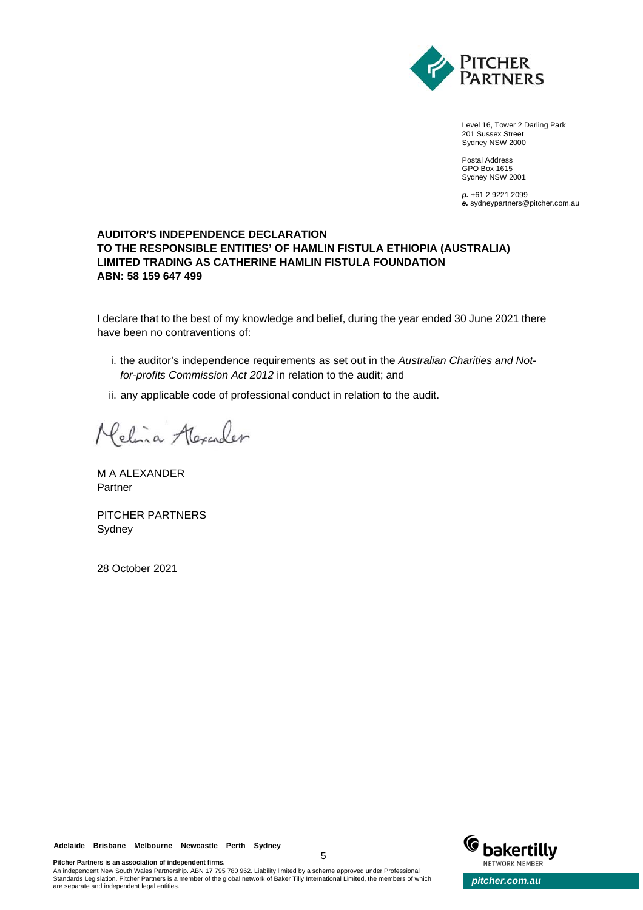

Level 16, Tower 2 Darling Park 201 Sussex Street Sydney NSW 2000

Postal Address GPO Box 1615 Sydney NSW 2001

*p.* +61 2 9221 2099 *e.* sydneypartners@pitcher.com.au

## **AUDITOR'S INDEPENDENCE DECLARATION TO THE RESPONSIBLE ENTITIES' OF HAMLIN FISTULA ETHIOPIA (AUSTRALIA) LIMITED TRADING AS CATHERINE HAMLIN FISTULA FOUNDATION ABN: 58 159 647 499**

I declare that to the best of my knowledge and belief, during the year ended 30 June 2021 there have been no contraventions of:

- i. the auditor's independence requirements as set out in the *Australian Charities and Notfor-profits Commission Act 2012* in relation to the audit; and
- ii. any applicable code of professional conduct in relation to the audit.

Melina Alexander

M A ALEXANDER Partner

PITCHER PARTNERS Sydney

28 October 2021

**Adelaide Brisbane Melbourne Newcastle Perth Sydney** 

5



**Pitcher Partners is an association of independent firms.**  An independent New South Wales Partnership. ABN 17 795 780 962. Liability limited by a scheme approved under Professional Standards Legislation. Pitcher Partners is a member of the global network of Baker Tilly International Limited, the members of which **pitcher.com.au profit and the members** of which **pitcher.com.au** are separate and indepe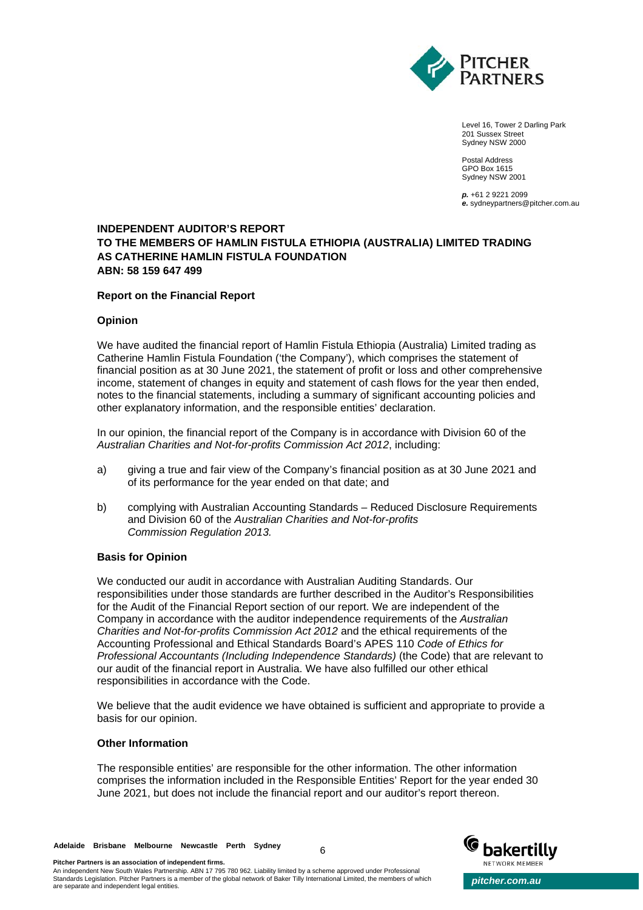

Level 16, Tower 2 Darling Park 201 Sussex Street Sydney NSW 2000

Postal Address GPO Box 1615 Sydney NSW 2001

*p.* +61 2 9221 2099 *e.* sydneypartners@pitcher.com.au

## **INDEPENDENT AUDITOR'S REPORT TO THE MEMBERS OF HAMLIN FISTULA ETHIOPIA (AUSTRALIA) LIMITED TRADING AS CATHERINE HAMLIN FISTULA FOUNDATION ABN: 58 159 647 499**

#### **Report on the Financial Report**

#### **Opinion**

We have audited the financial report of Hamlin Fistula Ethiopia (Australia) Limited trading as Catherine Hamlin Fistula Foundation ('the Company'), which comprises the statement of financial position as at 30 June 2021, the statement of profit or loss and other comprehensive income, statement of changes in equity and statement of cash flows for the year then ended, notes to the financial statements, including a summary of significant accounting policies and other explanatory information, and the responsible entities' declaration.

In our opinion, the financial report of the Company is in accordance with Division 60 of the *Australian Charities and Not-for-profits Commission Act 2012*, including:

- a) giving a true and fair view of the Company's financial position as at 30 June 2021 and of its performance for the year ended on that date; and
- b) complying with Australian Accounting Standards Reduced Disclosure Requirements and Division 60 of the *Australian Charities and Not-for-profits Commission Regulation 2013.*

#### **Basis for Opinion**

We conducted our audit in accordance with Australian Auditing Standards. Our responsibilities under those standards are further described in the Auditor's Responsibilities for the Audit of the Financial Report section of our report. We are independent of the Company in accordance with the auditor independence requirements of the *Australian Charities and Not-for-profits Commission Act 2012* and the ethical requirements of the Accounting Professional and Ethical Standards Board's APES 110 *Code of Ethics for Professional Accountants (Including Independence Standards)* (the Code) that are relevant to our audit of the financial report in Australia. We have also fulfilled our other ethical responsibilities in accordance with the Code.

We believe that the audit evidence we have obtained is sufficient and appropriate to provide a basis for our opinion.

#### **Other Information**

The responsible entities' are responsible for the other information. The other information comprises the information included in the Responsible Entities' Report for the year ended 30 June 2021, but does not include the financial report and our auditor's report thereon.



**Pitcher Partners is an association of independent firms.**  An independent New South Wales Partnership. ABN 17 795 780 962. Liability limited by a scheme approved under Professional Standards Legislation. Pitcher Partners is a member of the global network of Baker Tilly International Limited, the members of which **pitcher.com.au profit and the members** of which **pitcher.com.au** are separate and indepe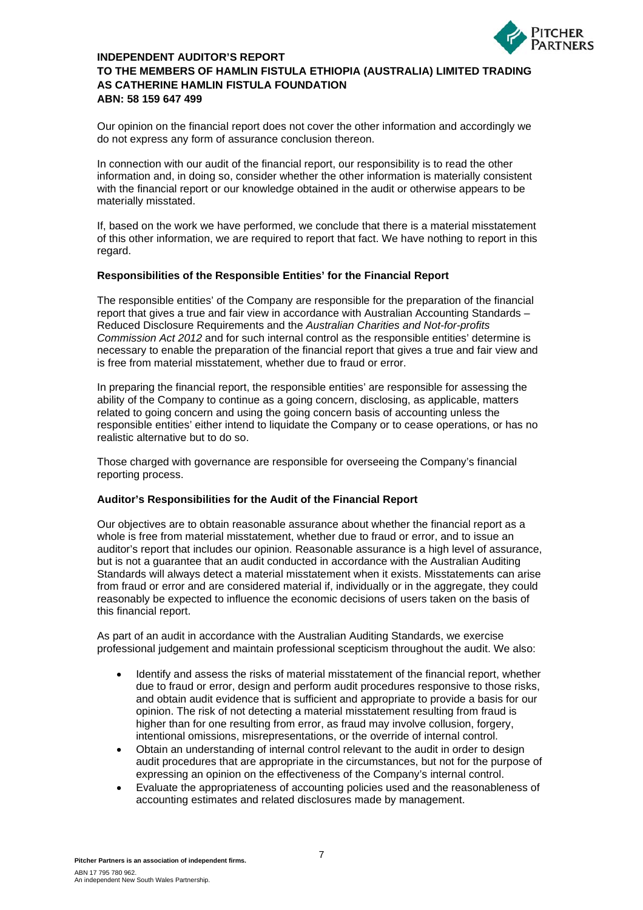

## **INDEPENDENT AUDITOR'S REPORT TO THE MEMBERS OF HAMLIN FISTULA ETHIOPIA (AUSTRALIA) LIMITED TRADING AS CATHERINE HAMLIN FISTULA FOUNDATION ABN: 58 159 647 499**

Our opinion on the financial report does not cover the other information and accordingly we do not express any form of assurance conclusion thereon.

In connection with our audit of the financial report, our responsibility is to read the other information and, in doing so, consider whether the other information is materially consistent with the financial report or our knowledge obtained in the audit or otherwise appears to be materially misstated.

If, based on the work we have performed, we conclude that there is a material misstatement of this other information, we are required to report that fact. We have nothing to report in this regard.

#### **Responsibilities of the Responsible Entities' for the Financial Report**

The responsible entities' of the Company are responsible for the preparation of the financial report that gives a true and fair view in accordance with Australian Accounting Standards – Reduced Disclosure Requirements and the *Australian Charities and Not-for-profits Commission Act 2012* and for such internal control as the responsible entities' determine is necessary to enable the preparation of the financial report that gives a true and fair view and is free from material misstatement, whether due to fraud or error.

In preparing the financial report, the responsible entities' are responsible for assessing the ability of the Company to continue as a going concern, disclosing, as applicable, matters related to going concern and using the going concern basis of accounting unless the responsible entities' either intend to liquidate the Company or to cease operations, or has no realistic alternative but to do so.

Those charged with governance are responsible for overseeing the Company's financial reporting process.

#### **Auditor's Responsibilities for the Audit of the Financial Report**

Our objectives are to obtain reasonable assurance about whether the financial report as a whole is free from material misstatement, whether due to fraud or error, and to issue an auditor's report that includes our opinion. Reasonable assurance is a high level of assurance, but is not a guarantee that an audit conducted in accordance with the Australian Auditing Standards will always detect a material misstatement when it exists. Misstatements can arise from fraud or error and are considered material if, individually or in the aggregate, they could reasonably be expected to influence the economic decisions of users taken on the basis of this financial report.

As part of an audit in accordance with the Australian Auditing Standards, we exercise professional judgement and maintain professional scepticism throughout the audit. We also:

- Identify and assess the risks of material misstatement of the financial report, whether due to fraud or error, design and perform audit procedures responsive to those risks, and obtain audit evidence that is sufficient and appropriate to provide a basis for our opinion. The risk of not detecting a material misstatement resulting from fraud is higher than for one resulting from error, as fraud may involve collusion, forgery, intentional omissions, misrepresentations, or the override of internal control.
- Obtain an understanding of internal control relevant to the audit in order to design audit procedures that are appropriate in the circumstances, but not for the purpose of expressing an opinion on the effectiveness of the Company's internal control.
- Evaluate the appropriateness of accounting policies used and the reasonableness of accounting estimates and related disclosures made by management.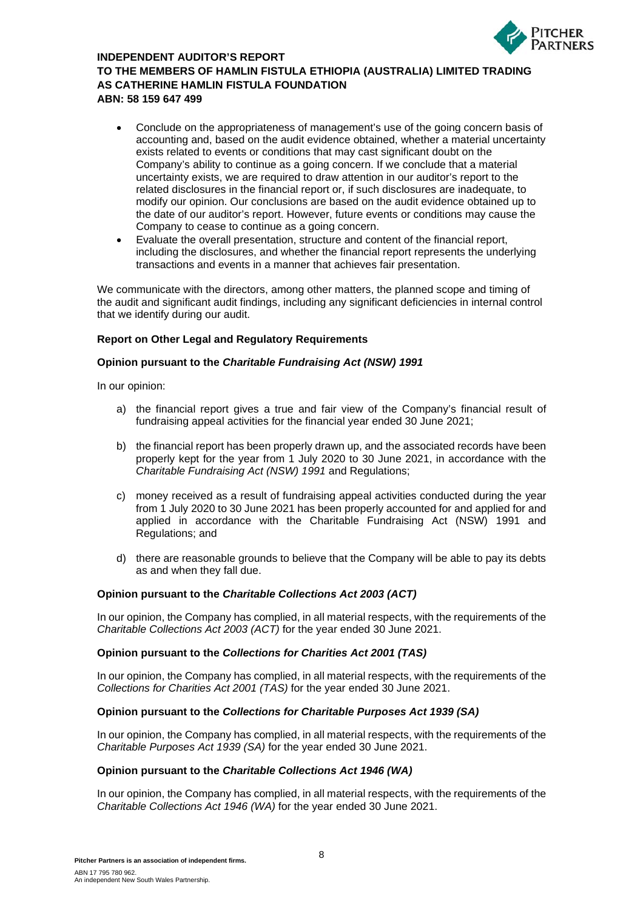

## **INDEPENDENT AUDITOR'S REPORT TO THE MEMBERS OF HAMLIN FISTULA ETHIOPIA (AUSTRALIA) LIMITED TRADING AS CATHERINE HAMLIN FISTULA FOUNDATION ABN: 58 159 647 499**

- Conclude on the appropriateness of management's use of the going concern basis of accounting and, based on the audit evidence obtained, whether a material uncertainty exists related to events or conditions that may cast significant doubt on the Company's ability to continue as a going concern. If we conclude that a material uncertainty exists, we are required to draw attention in our auditor's report to the related disclosures in the financial report or, if such disclosures are inadequate, to modify our opinion. Our conclusions are based on the audit evidence obtained up to the date of our auditor's report. However, future events or conditions may cause the Company to cease to continue as a going concern.
- Evaluate the overall presentation, structure and content of the financial report, including the disclosures, and whether the financial report represents the underlying transactions and events in a manner that achieves fair presentation.

We communicate with the directors, among other matters, the planned scope and timing of the audit and significant audit findings, including any significant deficiencies in internal control that we identify during our audit.

#### **Report on Other Legal and Regulatory Requirements**

#### **Opinion pursuant to the** *Charitable Fundraising Act (NSW) 1991*

In our opinion:

- a) the financial report gives a true and fair view of the Company's financial result of fundraising appeal activities for the financial year ended 30 June 2021;
- b) the financial report has been properly drawn up, and the associated records have been properly kept for the year from 1 July 2020 to 30 June 2021, in accordance with the *Charitable Fundraising Act (NSW) 1991* and Regulations;
- c) money received as a result of fundraising appeal activities conducted during the year from 1 July 2020 to 30 June 2021 has been properly accounted for and applied for and applied in accordance with the Charitable Fundraising Act (NSW) 1991 and Regulations; and
- d) there are reasonable grounds to believe that the Company will be able to pay its debts as and when they fall due.

#### **Opinion pursuant to the** *Charitable Collections Act 2003 (ACT)*

In our opinion, the Company has complied, in all material respects, with the requirements of the *Charitable Collections Act 2003 (ACT)* for the year ended 30 June 2021.

#### **Opinion pursuant to the** *Collections for Charities Act 2001 (TAS)*

In our opinion, the Company has complied, in all material respects, with the requirements of the *Collections for Charities Act 2001 (TAS)* for the year ended 30 June 2021.

#### **Opinion pursuant to the** *Collections for Charitable Purposes Act 1939 (SA)*

In our opinion, the Company has complied, in all material respects, with the requirements of the *Charitable Purposes Act 1939 (SA)* for the year ended 30 June 2021.

#### **Opinion pursuant to the** *Charitable Collections Act 1946 (WA)*

In our opinion, the Company has complied, in all material respects, with the requirements of the *Charitable Collections Act 1946 (WA)* for the year ended 30 June 2021.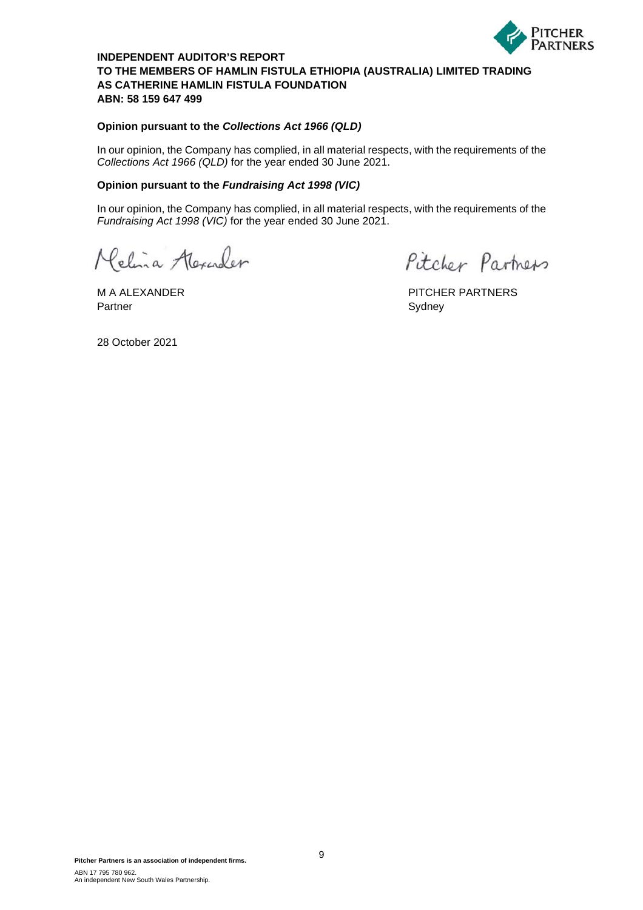

## **INDEPENDENT AUDITOR'S REPORT TO THE MEMBERS OF HAMLIN FISTULA ETHIOPIA (AUSTRALIA) LIMITED TRADING AS CATHERINE HAMLIN FISTULA FOUNDATION ABN: 58 159 647 499**

## **Opinion pursuant to the** *Collections Act 1966 (QLD)*

In our opinion, the Company has complied, in all material respects, with the requirements of the *Collections Act 1966 (QLD)* for the year ended 30 June 2021.

### **Opinion pursuant to the** *Fundraising Act 1998 (VIC)*

In our opinion, the Company has complied, in all material respects, with the requirements of the *Fundraising Act 1998 (VIC)* for the year ended 30 June 2021.

Melina Alexander

Partner Sydney

Pitcher Partners

M A ALEXANDER PARTNERS

28 October 2021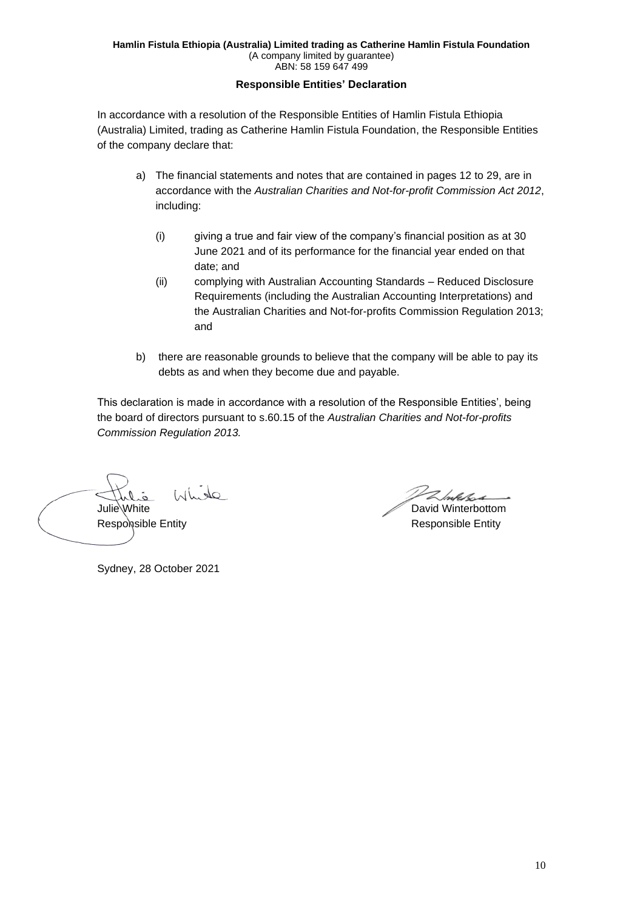#### **Responsible Entities' Declaration**

In accordance with a resolution of the Responsible Entities of Hamlin Fistula Ethiopia (Australia) Limited, trading as Catherine Hamlin Fistula Foundation, the Responsible Entities of the company declare that:

- a) The financial statements and notes that are contained in pages 12 to 29, are in accordance with the *Australian Charities and Not-for-profit Commission Act 2012*, including:
	- (i) giving a true and fair view of the company's financial position as at 30 June 2021 and of its performance for the financial year ended on that date; and
	- (ii) complying with Australian Accounting Standards Reduced Disclosure Requirements (including the Australian Accounting Interpretations) and the Australian Charities and Not-for-profits Commission Regulation 2013; and
- b) there are reasonable grounds to believe that the company will be able to pay its debts as and when they become due and payable.

This declaration is made in accordance with a resolution of the Responsible Entities', being the board of directors pursuant to s.60.15 of the *Australian Charities and Not-for-profits Commission Regulation 2013.*

Julie White David Winterbottom Responsible Entity **Responsible Entity** 

2 Inferso

Sydney, 28 October 2021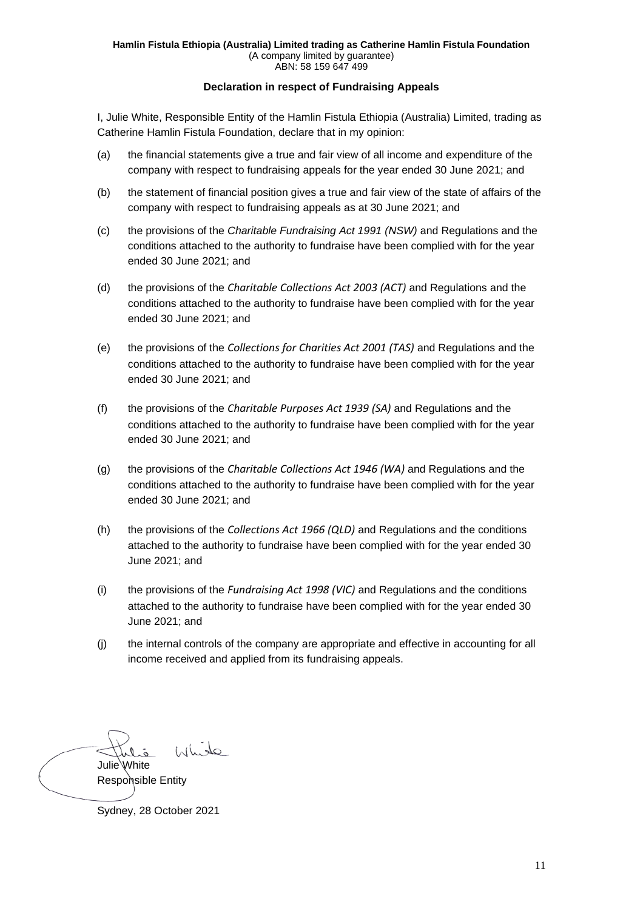### **Declaration in respect of Fundraising Appeals**

I, Julie White, Responsible Entity of the Hamlin Fistula Ethiopia (Australia) Limited, trading as Catherine Hamlin Fistula Foundation, declare that in my opinion:

- (a) the financial statements give a true and fair view of all income and expenditure of the company with respect to fundraising appeals for the year ended 30 June 2021; and
- (b) the statement of financial position gives a true and fair view of the state of affairs of the company with respect to fundraising appeals as at 30 June 2021; and
- (c) the provisions of the *Charitable Fundraising Act 1991 (NSW)* and Regulations and the conditions attached to the authority to fundraise have been complied with for the year ended 30 June 2021; and
- (d) the provisions of the *Charitable Collections Act 2003 (ACT)* and Regulations and the conditions attached to the authority to fundraise have been complied with for the year ended 30 June 2021; and
- (e) the provisions of the *Collections for Charities Act 2001 (TAS)* and Regulations and the conditions attached to the authority to fundraise have been complied with for the year ended 30 June 2021; and
- (f) the provisions of the *Charitable Purposes Act 1939 (SA)* and Regulations and the conditions attached to the authority to fundraise have been complied with for the year ended 30 June 2021; and
- (g) the provisions of the *Charitable Collections Act 1946 (WA)* and Regulations and the conditions attached to the authority to fundraise have been complied with for the year ended 30 June 2021; and
- (h) the provisions of the *Collections Act 1966 (QLD)* and Regulations and the conditions attached to the authority to fundraise have been complied with for the year ended 30 June 2021; and
- (i) the provisions of the *Fundraising Act 1998 (VIC)* and Regulations and the conditions attached to the authority to fundraise have been complied with for the year ended 30 June 2021; and
- (j) the internal controls of the company are appropriate and effective in accounting for all income received and applied from its fundraising appeals.

Julie White

Responsible Entity

Sydney, 28 October 2021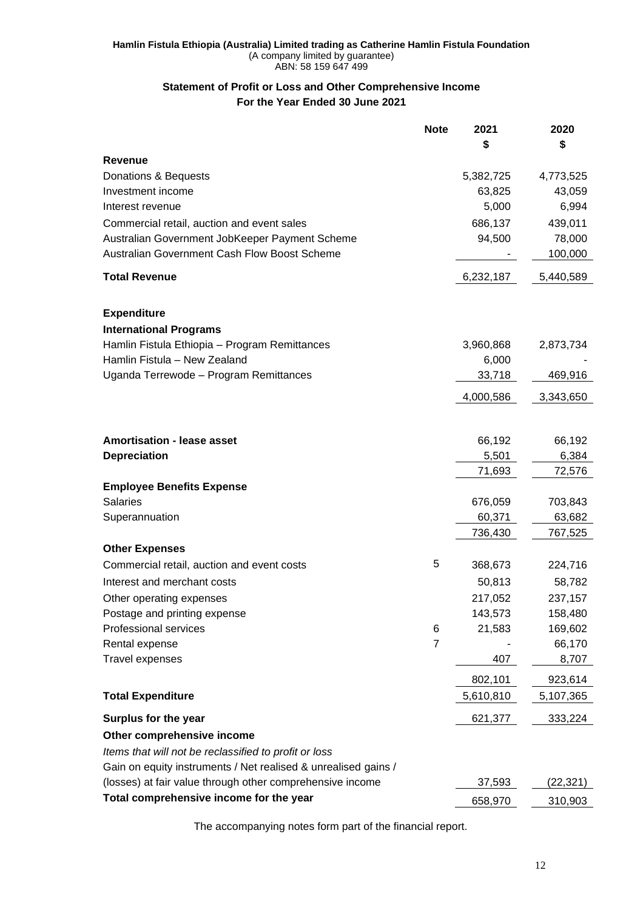#### **Hamlin Fistula Ethiopia (Australia) Limited trading as Catherine Hamlin Fistula Foundation** (A company limited by guarantee) ABN: 58 159 647 499

## **Statement of Profit or Loss and Other Comprehensive Income For the Year Ended 30 June 2021**

|                                                                | <b>Note</b>    | 2021      | 2020      |
|----------------------------------------------------------------|----------------|-----------|-----------|
|                                                                |                | \$        | \$        |
| <b>Revenue</b>                                                 |                |           |           |
| Donations & Bequests                                           |                | 5,382,725 | 4,773,525 |
| Investment income                                              |                | 63,825    | 43,059    |
| Interest revenue                                               |                | 5,000     | 6,994     |
| Commercial retail, auction and event sales                     |                | 686,137   | 439,011   |
| Australian Government JobKeeper Payment Scheme                 |                | 94,500    | 78,000    |
| Australian Government Cash Flow Boost Scheme                   |                |           | 100,000   |
| <b>Total Revenue</b>                                           |                | 6,232,187 | 5,440,589 |
| <b>Expenditure</b>                                             |                |           |           |
| <b>International Programs</b>                                  |                |           |           |
| Hamlin Fistula Ethiopia - Program Remittances                  |                | 3,960,868 | 2,873,734 |
| Hamlin Fistula - New Zealand                                   |                | 6,000     |           |
| Uganda Terrewode - Program Remittances                         |                | 33,718    | 469,916   |
|                                                                |                | 4,000,586 | 3,343,650 |
|                                                                |                |           |           |
| <b>Amortisation - lease asset</b>                              |                | 66,192    | 66,192    |
| <b>Depreciation</b>                                            |                | 5,501     | 6,384     |
|                                                                |                | 71,693    | 72,576    |
| <b>Employee Benefits Expense</b>                               |                |           |           |
| <b>Salaries</b>                                                |                | 676,059   | 703,843   |
| Superannuation                                                 |                | 60,371    | 63,682    |
|                                                                |                | 736,430   | 767,525   |
| <b>Other Expenses</b>                                          |                |           |           |
| Commercial retail, auction and event costs                     | 5              | 368,673   | 224,716   |
| Interest and merchant costs                                    |                | 50,813    | 58,782    |
| Other operating expenses                                       |                | 217,052   | 237,157   |
| Postage and printing expense                                   |                | 143,573   | 158,480   |
| Professional services                                          | 6              | 21,583    | 169,602   |
| Rental expense                                                 | $\overline{7}$ |           | 66,170    |
| <b>Travel expenses</b>                                         |                | 407       | 8,707     |
|                                                                |                | 802,101   | 923,614   |
| <b>Total Expenditure</b>                                       |                | 5,610,810 | 5,107,365 |
| Surplus for the year                                           |                | 621,377   | 333,224   |
| Other comprehensive income                                     |                |           |           |
| Items that will not be reclassified to profit or loss          |                |           |           |
| Gain on equity instruments / Net realised & unrealised gains / |                |           |           |
| (losses) at fair value through other comprehensive income      |                | 37,593    | (22, 321) |
| Total comprehensive income for the year                        |                | 658,970   | 310,903   |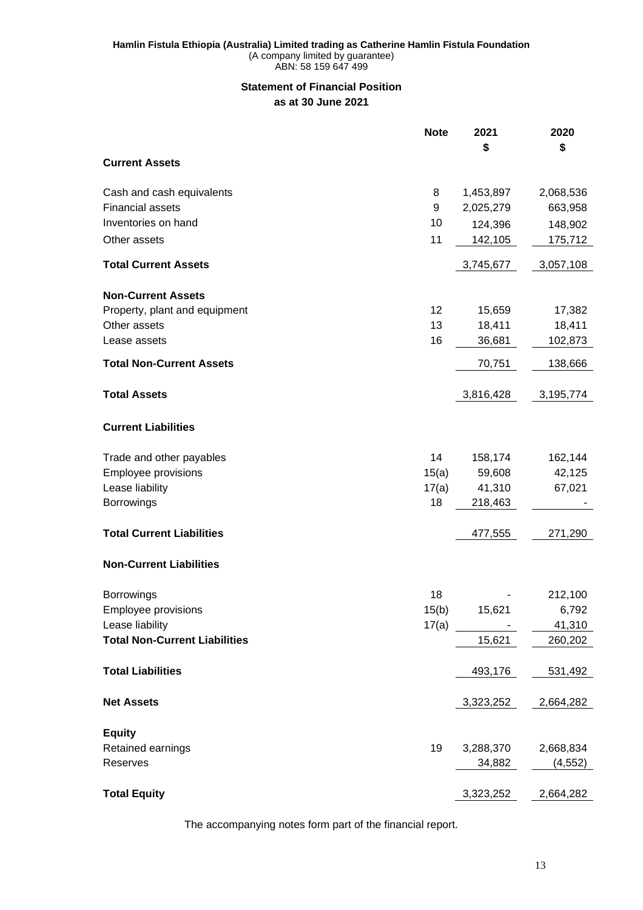## **Hamlin Fistula Ethiopia (Australia) Limited trading as Catherine Hamlin Fistula Foundation**

(A company limited by guarantee)

#### ABN: 58 159 647 499

## **Statement of Financial Position**

## **as at 30 June 2021**

|                                      | <b>Note</b> | 2021<br>\$                                                | 2020<br>\$ |
|--------------------------------------|-------------|-----------------------------------------------------------|------------|
| <b>Current Assets</b>                |             |                                                           |            |
| Cash and cash equivalents            | 8           | 1,453,897                                                 | 2,068,536  |
| <b>Financial assets</b>              | 9           | 2,025,279                                                 | 663,958    |
| Inventories on hand                  | 10          | 124,396                                                   | 148,902    |
| Other assets                         | 11          | 142,105                                                   | 175,712    |
| <b>Total Current Assets</b>          |             | 3,745,677                                                 | 3,057,108  |
| <b>Non-Current Assets</b>            |             |                                                           |            |
| Property, plant and equipment        | 12          | 15,659                                                    | 17,382     |
| Other assets                         | 13          | 18,411                                                    | 18,411     |
| Lease assets                         | 16          | 36,681                                                    | 102,873    |
| <b>Total Non-Current Assets</b>      |             | 70,751                                                    | 138,666    |
| <b>Total Assets</b>                  |             | 3,816,428                                                 | 3,195,774  |
| <b>Current Liabilities</b>           |             |                                                           |            |
| Trade and other payables             | 14          | 158,174                                                   | 162,144    |
| Employee provisions                  | 15(a)       | 59,608                                                    | 42,125     |
| Lease liability                      | 17(a)       | 41,310                                                    | 67,021     |
| <b>Borrowings</b>                    | 18          | 218,463                                                   |            |
| <b>Total Current Liabilities</b>     |             | 477,555                                                   | 271,290    |
| <b>Non-Current Liabilities</b>       |             |                                                           |            |
| <b>Borrowings</b>                    | 18          |                                                           | 212,100    |
| <b>Employee provisions</b>           | 15(b)       | 15,621                                                    | 6,792      |
| Lease liability                      | 17(a)       | $\mathcal{L}_{\text{max}}$ and $\mathcal{L}_{\text{max}}$ | 41,310     |
| <b>Total Non-Current Liabilities</b> |             | 15,621                                                    | 260,202    |
| <b>Total Liabilities</b>             |             | 493,176                                                   | 531,492    |
| <b>Net Assets</b>                    |             | 3,323,252                                                 | 2,664,282  |
| <b>Equity</b>                        |             |                                                           |            |
| Retained earnings                    | 19          | 3,288,370                                                 | 2,668,834  |
| Reserves                             |             | 34,882                                                    | (4, 552)   |
| <b>Total Equity</b>                  |             | 3,323,252                                                 | 2,664,282  |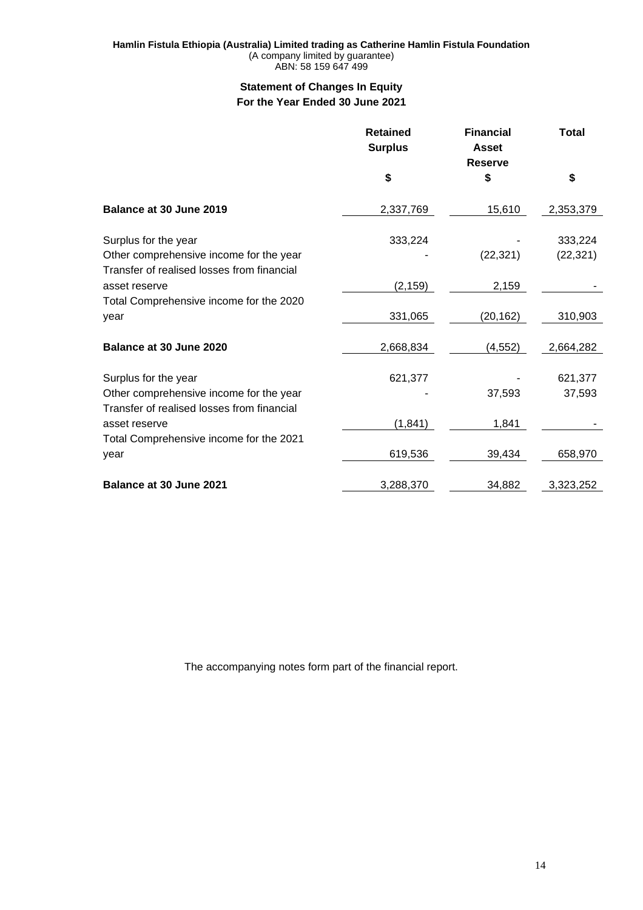#### **Hamlin Fistula Ethiopia (Australia) Limited trading as Catherine Hamlin Fistula Foundation** (A company limited by guarantee)

ABN: 58 159 647 499

## **Statement of Changes In Equity For the Year Ended 30 June 2021**

|                                                             | <b>Retained</b><br><b>Surplus</b> | <b>Financial</b><br><b>Asset</b><br><b>Reserve</b> | <b>Total</b> |
|-------------------------------------------------------------|-----------------------------------|----------------------------------------------------|--------------|
|                                                             | \$                                | \$                                                 | \$           |
| Balance at 30 June 2019                                     | 2,337,769                         | 15,610                                             | 2,353,379    |
| Surplus for the year                                        | 333,224                           |                                                    | 333,224      |
| Other comprehensive income for the year                     |                                   | (22, 321)                                          | (22, 321)    |
| Transfer of realised losses from financial<br>asset reserve | (2, 159)                          | 2,159                                              |              |
| Total Comprehensive income for the 2020<br>year             | 331,065                           | (20, 162)                                          | 310,903      |
| Balance at 30 June 2020                                     | 2,668,834                         | (4, 552)                                           | 2,664,282    |
| Surplus for the year                                        | 621,377                           |                                                    | 621,377      |
| Other comprehensive income for the year                     |                                   | 37,593                                             | 37,593       |
| Transfer of realised losses from financial                  |                                   |                                                    |              |
| asset reserve                                               | (1, 841)                          | 1,841                                              |              |
| Total Comprehensive income for the 2021<br>year             | 619,536                           | 39,434                                             | 658,970      |
| <b>Balance at 30 June 2021</b>                              | 3,288,370                         | 34,882                                             | 3,323,252    |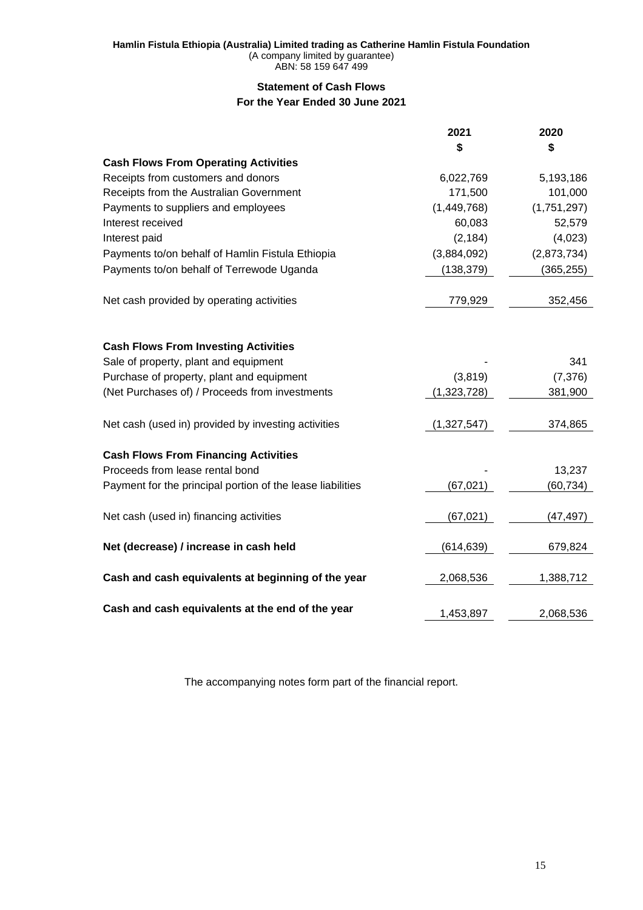## **Statement of Cash Flows For the Year Ended 30 June 2021**

|                                                            | 2021        | 2020        |
|------------------------------------------------------------|-------------|-------------|
|                                                            | \$          | \$          |
| <b>Cash Flows From Operating Activities</b>                |             |             |
| Receipts from customers and donors                         | 6,022,769   | 5,193,186   |
| Receipts from the Australian Government                    | 171,500     | 101,000     |
| Payments to suppliers and employees                        | (1,449,768) | (1,751,297) |
| Interest received                                          | 60,083      | 52,579      |
| Interest paid                                              | (2, 184)    | (4,023)     |
| Payments to/on behalf of Hamlin Fistula Ethiopia           | (3,884,092) | (2,873,734) |
| Payments to/on behalf of Terrewode Uganda                  | (138, 379)  | (365, 255)  |
| Net cash provided by operating activities                  | 779,929     | 352,456     |
| <b>Cash Flows From Investing Activities</b>                |             |             |
| Sale of property, plant and equipment                      |             | 341         |
| Purchase of property, plant and equipment                  | (3,819)     | (7, 376)    |
| (Net Purchases of) / Proceeds from investments             | (1,323,728) | 381,900     |
| Net cash (used in) provided by investing activities        | (1,327,547) | 374,865     |
| <b>Cash Flows From Financing Activities</b>                |             |             |
| Proceeds from lease rental bond                            |             | 13,237      |
| Payment for the principal portion of the lease liabilities | (67, 021)   | (60, 734)   |
| Net cash (used in) financing activities                    | (67, 021)   | (47, 497)   |
| Net (decrease) / increase in cash held                     | (614, 639)  | 679,824     |
| Cash and cash equivalents at beginning of the year         | 2,068,536   | 1,388,712   |
| Cash and cash equivalents at the end of the year           | 1,453,897   | 2,068,536   |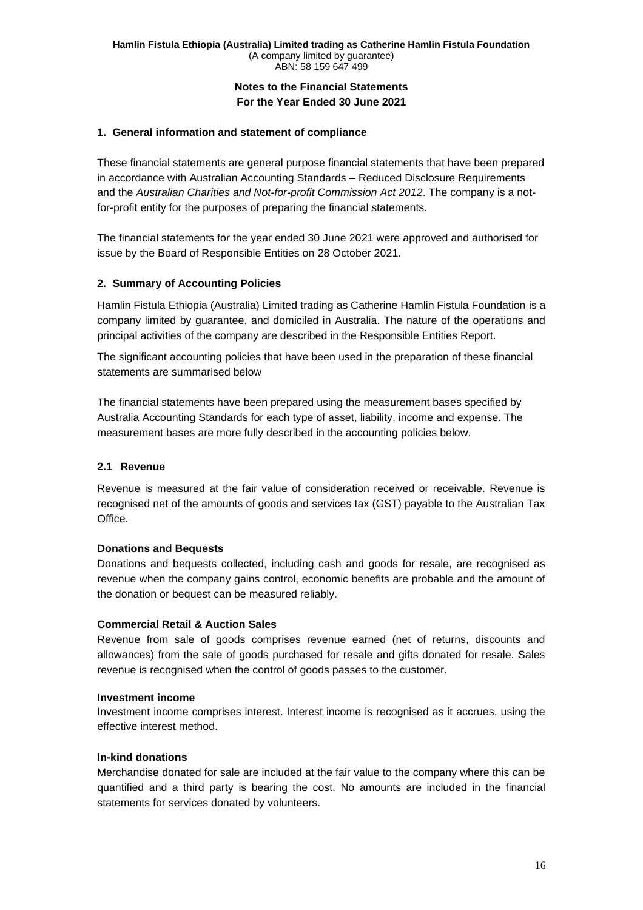## **1. General information and statement of compliance**

These financial statements are general purpose financial statements that have been prepared in accordance with Australian Accounting Standards – Reduced Disclosure Requirements and the *Australian Charities and Not-for-profit Commission Act 2012*. The company is a notfor-profit entity for the purposes of preparing the financial statements.

The financial statements for the year ended 30 June 2021 were approved and authorised for issue by the Board of Responsible Entities on 28 October 2021.

## **2. Summary of Accounting Policies**

Hamlin Fistula Ethiopia (Australia) Limited trading as Catherine Hamlin Fistula Foundation is a company limited by guarantee, and domiciled in Australia. The nature of the operations and principal activities of the company are described in the Responsible Entities Report.

The significant accounting policies that have been used in the preparation of these financial statements are summarised below

The financial statements have been prepared using the measurement bases specified by Australia Accounting Standards for each type of asset, liability, income and expense. The measurement bases are more fully described in the accounting policies below.

### **2.1 Revenue**

Revenue is measured at the fair value of consideration received or receivable. Revenue is recognised net of the amounts of goods and services tax (GST) payable to the Australian Tax Office.

### **Donations and Bequests**

Donations and bequests collected, including cash and goods for resale, are recognised as revenue when the company gains control, economic benefits are probable and the amount of the donation or bequest can be measured reliably.

### **Commercial Retail & Auction Sales**

Revenue from sale of goods comprises revenue earned (net of returns, discounts and allowances) from the sale of goods purchased for resale and gifts donated for resale. Sales revenue is recognised when the control of goods passes to the customer.

### **Investment income**

Investment income comprises interest. Interest income is recognised as it accrues, using the effective interest method.

## **In-kind donations**

Merchandise donated for sale are included at the fair value to the company where this can be quantified and a third party is bearing the cost. No amounts are included in the financial statements for services donated by volunteers.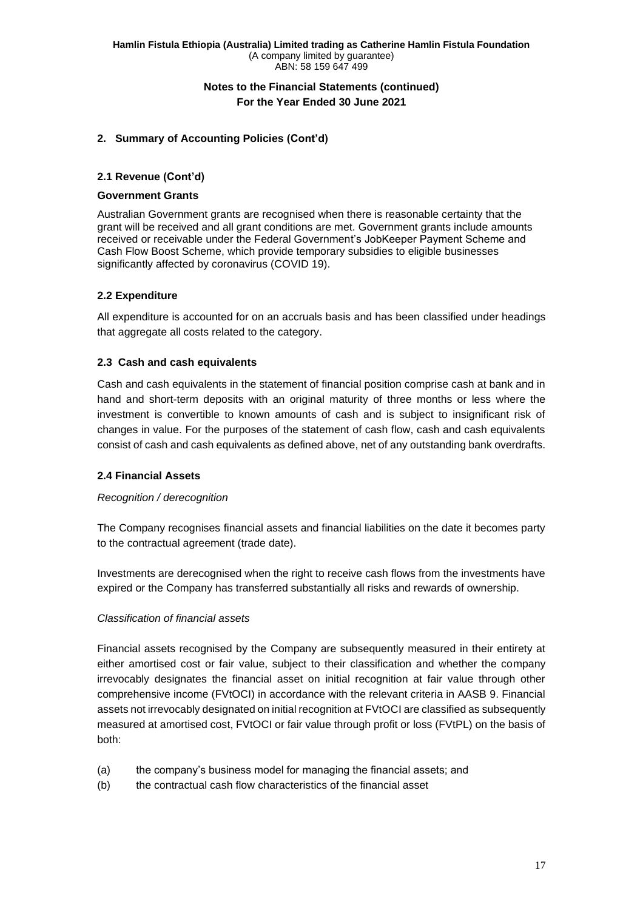## **2. Summary of Accounting Policies (Cont'd)**

### **2.1 Revenue (Cont'd)**

#### **Government Grants**

Australian Government grants are recognised when there is reasonable certainty that the grant will be received and all grant conditions are met. Government grants include amounts received or receivable under the Federal Government's JobKeeper Payment Scheme and Cash Flow Boost Scheme, which provide temporary subsidies to eligible businesses significantly affected by coronavirus (COVID 19).

### **2.2 Expenditure**

All expenditure is accounted for on an accruals basis and has been classified under headings that aggregate all costs related to the category.

### **2.3 Cash and cash equivalents**

Cash and cash equivalents in the statement of financial position comprise cash at bank and in hand and short-term deposits with an original maturity of three months or less where the investment is convertible to known amounts of cash and is subject to insignificant risk of changes in value. For the purposes of the statement of cash flow, cash and cash equivalents consist of cash and cash equivalents as defined above, net of any outstanding bank overdrafts.

### **2.4 Financial Assets**

### *Recognition / derecognition*

The Company recognises financial assets and financial liabilities on the date it becomes party to the contractual agreement (trade date).

Investments are derecognised when the right to receive cash flows from the investments have expired or the Company has transferred substantially all risks and rewards of ownership.

### *Classification of financial assets*

Financial assets recognised by the Company are subsequently measured in their entirety at either amortised cost or fair value, subject to their classification and whether the company irrevocably designates the financial asset on initial recognition at fair value through other comprehensive income (FVtOCI) in accordance with the relevant criteria in AASB 9. Financial assets not irrevocably designated on initial recognition at FVtOCI are classified as subsequently measured at amortised cost, FVtOCI or fair value through profit or loss (FVtPL) on the basis of both:

- (a) the company's business model for managing the financial assets; and
- (b) the contractual cash flow characteristics of the financial asset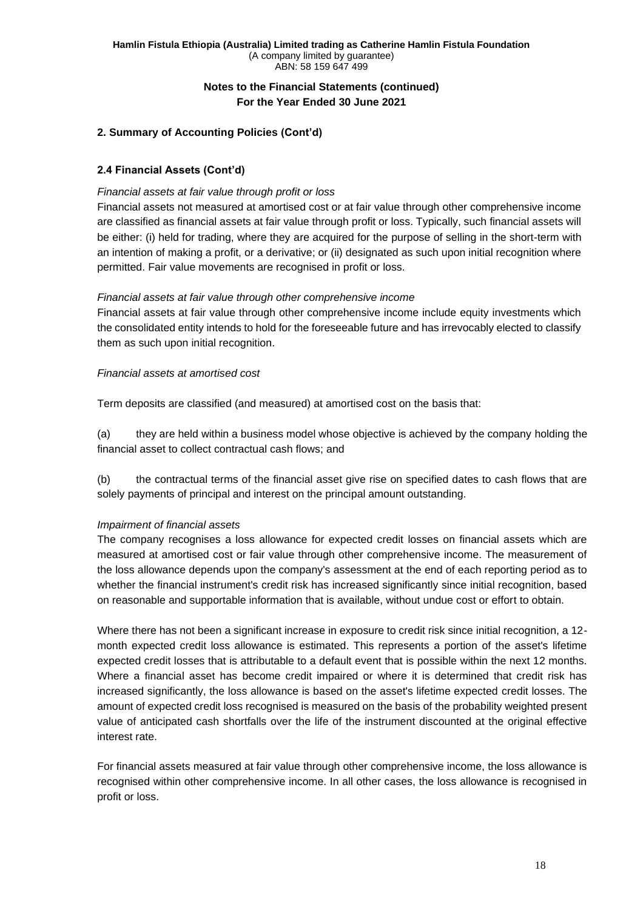## **2. Summary of Accounting Policies (Cont'd)**

## **2.4 Financial Assets (Cont'd)**

#### *Financial assets at fair value through profit or loss*

Financial assets not measured at amortised cost or at fair value through other comprehensive income are classified as financial assets at fair value through profit or loss. Typically, such financial assets will be either: (i) held for trading, where they are acquired for the purpose of selling in the short-term with an intention of making a profit, or a derivative; or (ii) designated as such upon initial recognition where permitted. Fair value movements are recognised in profit or loss.

### *Financial assets at fair value through other comprehensive income*

Financial assets at fair value through other comprehensive income include equity investments which the consolidated entity intends to hold for the foreseeable future and has irrevocably elected to classify them as such upon initial recognition.

#### *Financial assets at amortised cost*

Term deposits are classified (and measured) at amortised cost on the basis that:

(a) they are held within a business model whose objective is achieved by the company holding the financial asset to collect contractual cash flows; and

(b) the contractual terms of the financial asset give rise on specified dates to cash flows that are solely payments of principal and interest on the principal amount outstanding.

### *Impairment of financial assets*

The company recognises a loss allowance for expected credit losses on financial assets which are measured at amortised cost or fair value through other comprehensive income. The measurement of the loss allowance depends upon the company's assessment at the end of each reporting period as to whether the financial instrument's credit risk has increased significantly since initial recognition, based on reasonable and supportable information that is available, without undue cost or effort to obtain.

Where there has not been a significant increase in exposure to credit risk since initial recognition, a 12month expected credit loss allowance is estimated. This represents a portion of the asset's lifetime expected credit losses that is attributable to a default event that is possible within the next 12 months. Where a financial asset has become credit impaired or where it is determined that credit risk has increased significantly, the loss allowance is based on the asset's lifetime expected credit losses. The amount of expected credit loss recognised is measured on the basis of the probability weighted present value of anticipated cash shortfalls over the life of the instrument discounted at the original effective interest rate.

For financial assets measured at fair value through other comprehensive income, the loss allowance is recognised within other comprehensive income. In all other cases, the loss allowance is recognised in profit or loss.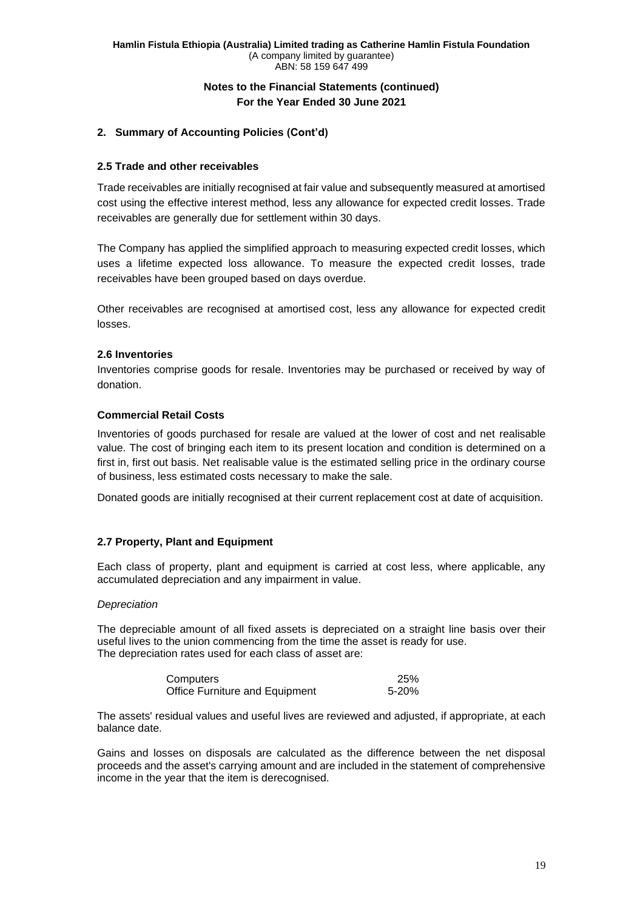## **2. Summary of Accounting Policies (Cont'd)**

### **2.5 Trade and other receivables**

Trade receivables are initially recognised at fair value and subsequently measured at amortised cost using the effective interest method, less any allowance for expected credit losses. Trade receivables are generally due for settlement within 30 days.

The Company has applied the simplified approach to measuring expected credit losses, which uses a lifetime expected loss allowance. To measure the expected credit losses, trade receivables have been grouped based on days overdue.

Other receivables are recognised at amortised cost, less any allowance for expected credit losses.

### **2.6 Inventories**

Inventories comprise goods for resale. Inventories may be purchased or received by way of donation.

## **Commercial Retail Costs**

Inventories of goods purchased for resale are valued at the lower of cost and net realisable value. The cost of bringing each item to its present location and condition is determined on a first in, first out basis. Net realisable value is the estimated selling price in the ordinary course of business, less estimated costs necessary to make the sale.

Donated goods are initially recognised at their current replacement cost at date of acquisition.

### **2.7 Property, Plant and Equipment**

Each class of property, plant and equipment is carried at cost less, where applicable, any accumulated depreciation and any impairment in value.

### *Depreciation*

The depreciable amount of all fixed assets is depreciated on a straight line basis over their useful lives to the union commencing from the time the asset is ready for use. The depreciation rates used for each class of asset are:

| Computers                             | 25%   |
|---------------------------------------|-------|
| <b>Office Furniture and Equipment</b> | 5-20% |

The assets' residual values and useful lives are reviewed and adjusted, if appropriate, at each balance date.

Gains and losses on disposals are calculated as the difference between the net disposal proceeds and the asset's carrying amount and are included in the statement of comprehensive income in the year that the item is derecognised.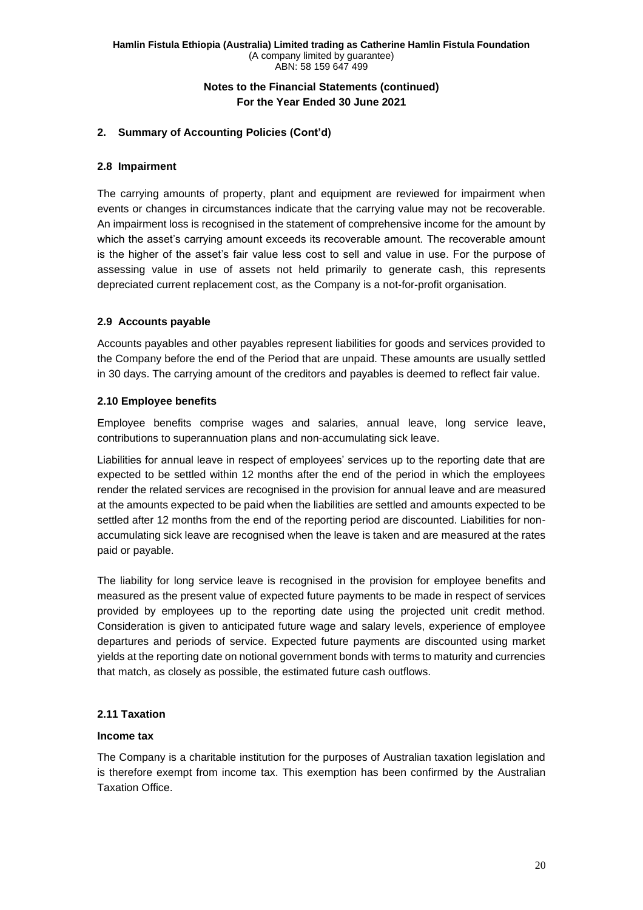## **2. Summary of Accounting Policies (Cont'd)**

#### **2.8 Impairment**

The carrying amounts of property, plant and equipment are reviewed for impairment when events or changes in circumstances indicate that the carrying value may not be recoverable. An impairment loss is recognised in the statement of comprehensive income for the amount by which the asset's carrying amount exceeds its recoverable amount. The recoverable amount is the higher of the asset's fair value less cost to sell and value in use. For the purpose of assessing value in use of assets not held primarily to generate cash, this represents depreciated current replacement cost, as the Company is a not-for-profit organisation.

### **2.9 Accounts payable**

Accounts payables and other payables represent liabilities for goods and services provided to the Company before the end of the Period that are unpaid. These amounts are usually settled in 30 days. The carrying amount of the creditors and payables is deemed to reflect fair value.

## **2.10 Employee benefits**

Employee benefits comprise wages and salaries, annual leave, long service leave, contributions to superannuation plans and non-accumulating sick leave.

Liabilities for annual leave in respect of employees' services up to the reporting date that are expected to be settled within 12 months after the end of the period in which the employees render the related services are recognised in the provision for annual leave and are measured at the amounts expected to be paid when the liabilities are settled and amounts expected to be settled after 12 months from the end of the reporting period are discounted. Liabilities for nonaccumulating sick leave are recognised when the leave is taken and are measured at the rates paid or payable.

The liability for long service leave is recognised in the provision for employee benefits and measured as the present value of expected future payments to be made in respect of services provided by employees up to the reporting date using the projected unit credit method. Consideration is given to anticipated future wage and salary levels, experience of employee departures and periods of service. Expected future payments are discounted using market yields at the reporting date on notional government bonds with terms to maturity and currencies that match, as closely as possible, the estimated future cash outflows.

### **2.11 Taxation**

### **Income tax**

The Company is a charitable institution for the purposes of Australian taxation legislation and is therefore exempt from income tax. This exemption has been confirmed by the Australian Taxation Office.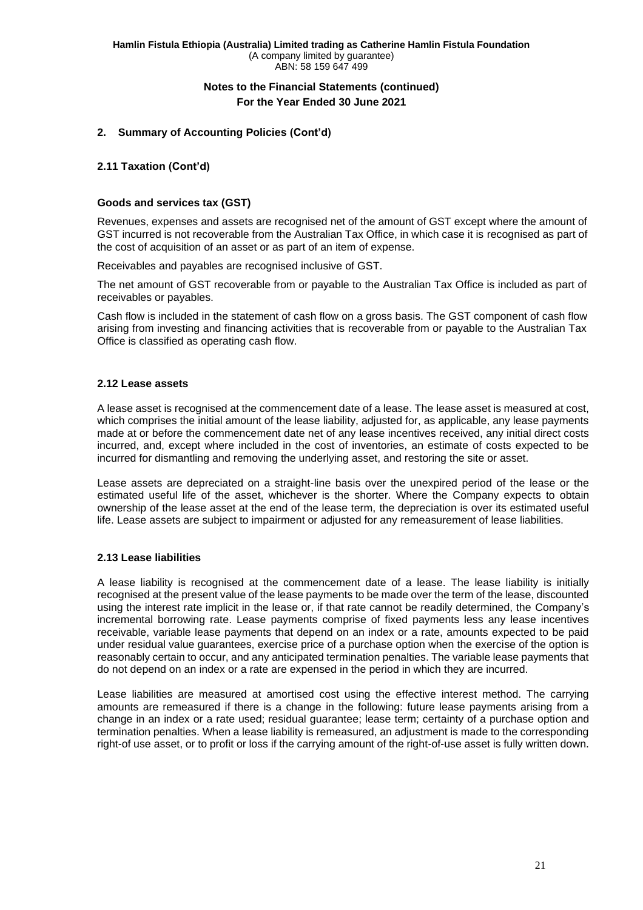ABN: 58 159 647 499

## **Notes to the Financial Statements (continued) For the Year Ended 30 June 2021**

## **2. Summary of Accounting Policies (Cont'd)**

## **2.11 Taxation (Cont'd)**

#### **Goods and services tax (GST)**

Revenues, expenses and assets are recognised net of the amount of GST except where the amount of GST incurred is not recoverable from the Australian Tax Office, in which case it is recognised as part of the cost of acquisition of an asset or as part of an item of expense.

Receivables and payables are recognised inclusive of GST.

The net amount of GST recoverable from or payable to the Australian Tax Office is included as part of receivables or payables.

Cash flow is included in the statement of cash flow on a gross basis. The GST component of cash flow arising from investing and financing activities that is recoverable from or payable to the Australian Tax Office is classified as operating cash flow.

## **2.12 Lease assets**

A lease asset is recognised at the commencement date of a lease. The lease asset is measured at cost, which comprises the initial amount of the lease liability, adjusted for, as applicable, any lease payments made at or before the commencement date net of any lease incentives received, any initial direct costs incurred, and, except where included in the cost of inventories, an estimate of costs expected to be incurred for dismantling and removing the underlying asset, and restoring the site or asset.

Lease assets are depreciated on a straight-line basis over the unexpired period of the lease or the estimated useful life of the asset, whichever is the shorter. Where the Company expects to obtain ownership of the lease asset at the end of the lease term, the depreciation is over its estimated useful life. Lease assets are subject to impairment or adjusted for any remeasurement of lease liabilities.

### **2.13 Lease liabilities**

A lease liability is recognised at the commencement date of a lease. The lease liability is initially recognised at the present value of the lease payments to be made over the term of the lease, discounted using the interest rate implicit in the lease or, if that rate cannot be readily determined, the Company's incremental borrowing rate. Lease payments comprise of fixed payments less any lease incentives receivable, variable lease payments that depend on an index or a rate, amounts expected to be paid under residual value guarantees, exercise price of a purchase option when the exercise of the option is reasonably certain to occur, and any anticipated termination penalties. The variable lease payments that do not depend on an index or a rate are expensed in the period in which they are incurred.

Lease liabilities are measured at amortised cost using the effective interest method. The carrying amounts are remeasured if there is a change in the following: future lease payments arising from a change in an index or a rate used; residual guarantee; lease term; certainty of a purchase option and termination penalties. When a lease liability is remeasured, an adjustment is made to the corresponding right-of use asset, or to profit or loss if the carrying amount of the right-of-use asset is fully written down.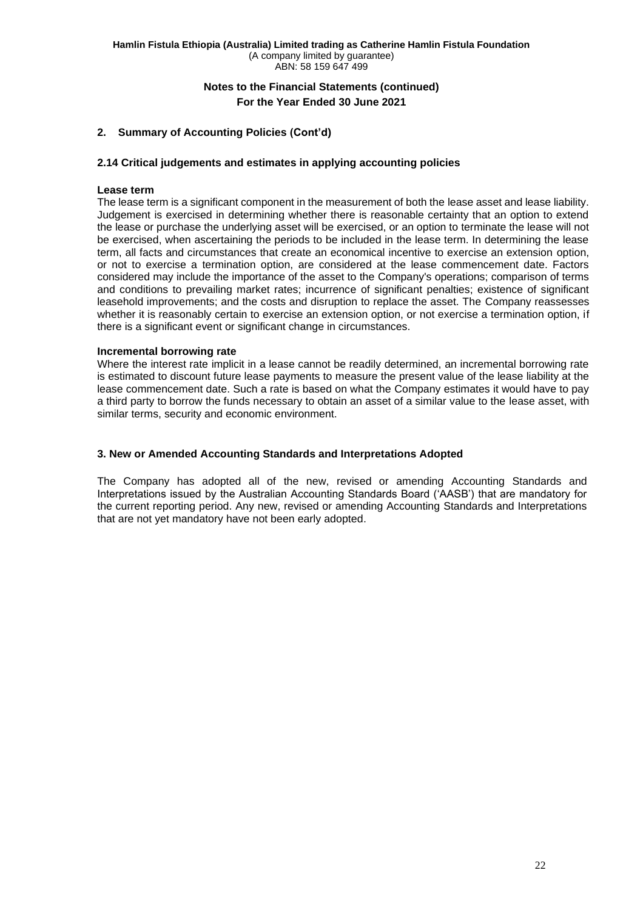### **2. Summary of Accounting Policies (Cont'd)**

#### **2.14 Critical judgements and estimates in applying accounting policies**

#### **Lease term**

The lease term is a significant component in the measurement of both the lease asset and lease liability. Judgement is exercised in determining whether there is reasonable certainty that an option to extend the lease or purchase the underlying asset will be exercised, or an option to terminate the lease will not be exercised, when ascertaining the periods to be included in the lease term. In determining the lease term, all facts and circumstances that create an economical incentive to exercise an extension option, or not to exercise a termination option, are considered at the lease commencement date. Factors considered may include the importance of the asset to the Company's operations; comparison of terms and conditions to prevailing market rates; incurrence of significant penalties; existence of significant leasehold improvements; and the costs and disruption to replace the asset. The Company reassesses whether it is reasonably certain to exercise an extension option, or not exercise a termination option, if there is a significant event or significant change in circumstances.

#### **Incremental borrowing rate**

Where the interest rate implicit in a lease cannot be readily determined, an incremental borrowing rate is estimated to discount future lease payments to measure the present value of the lease liability at the lease commencement date. Such a rate is based on what the Company estimates it would have to pay a third party to borrow the funds necessary to obtain an asset of a similar value to the lease asset, with similar terms, security and economic environment.

#### **3. New or Amended Accounting Standards and Interpretations Adopted**

The Company has adopted all of the new, revised or amending Accounting Standards and Interpretations issued by the Australian Accounting Standards Board ('AASB') that are mandatory for the current reporting period. Any new, revised or amending Accounting Standards and Interpretations that are not yet mandatory have not been early adopted.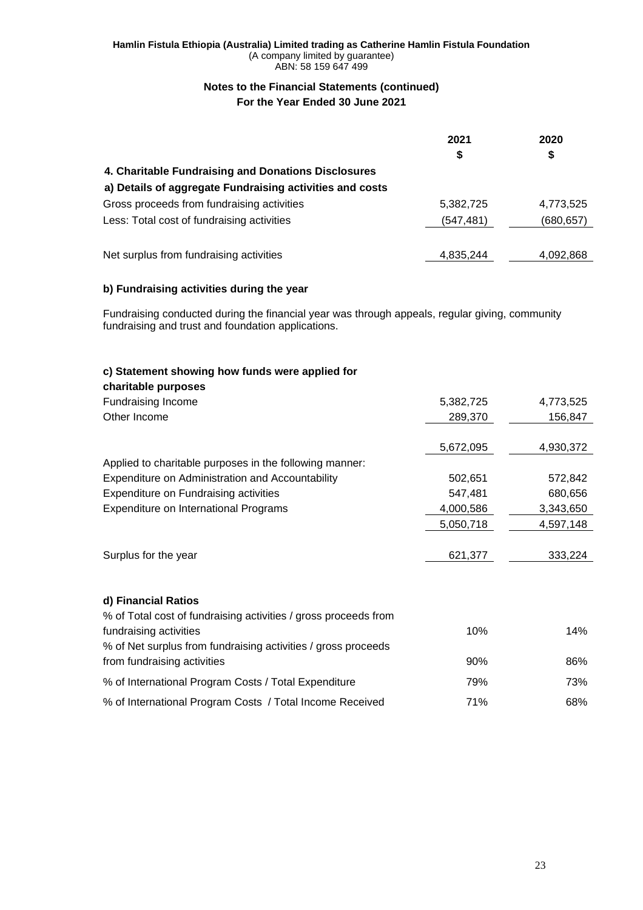#### **Hamlin Fistula Ethiopia (Australia) Limited trading as Catherine Hamlin Fistula Foundation** (A company limited by guarantee) ABN: 58 159 647 499

## **Notes to the Financial Statements (continued) For the Year Ended 30 June 2021**

|                                                          | 2021<br>\$ | 2020<br>\$ |
|----------------------------------------------------------|------------|------------|
| 4. Charitable Fundraising and Donations Disclosures      |            |            |
| a) Details of aggregate Fundraising activities and costs |            |            |
| Gross proceeds from fundraising activities               | 5.382.725  | 4.773.525  |
| Less: Total cost of fundraising activities               | (547,481)  | (680, 657) |
|                                                          |            |            |
| Net surplus from fundraising activities                  | 4.835.244  | 4.092.868  |

## **b) Fundraising activities during the year**

Fundraising conducted during the financial year was through appeals, regular giving, community fundraising and trust and foundation applications.

| c) Statement showing how funds were applied for<br>charitable purposes |           |           |
|------------------------------------------------------------------------|-----------|-----------|
| Fundraising Income                                                     | 5,382,725 | 4,773,525 |
| Other Income                                                           | 289,370   | 156,847   |
|                                                                        |           |           |
|                                                                        | 5,672,095 | 4,930,372 |
| Applied to charitable purposes in the following manner:                |           |           |
| Expenditure on Administration and Accountability                       | 502,651   | 572,842   |
| <b>Expenditure on Fundraising activities</b>                           | 547,481   | 680,656   |
| <b>Expenditure on International Programs</b>                           | 4,000,586 | 3,343,650 |
|                                                                        | 5,050,718 | 4,597,148 |
|                                                                        |           |           |
| Surplus for the year                                                   | 621,377   | 333,224   |
|                                                                        |           |           |
| d) Financial Ratios                                                    |           |           |
| % of Total cost of fundraising activities / gross proceeds from        |           |           |
| fundraising activities                                                 | 10%       | 14%       |
| % of Net surplus from fundraising activities / gross proceeds          |           |           |
| from fundraising activities                                            | 90%       | 86%       |
| % of International Program Costs / Total Expenditure                   | 79%       | 73%       |
| % of International Program Costs / Total Income Received               | 71%       | 68%       |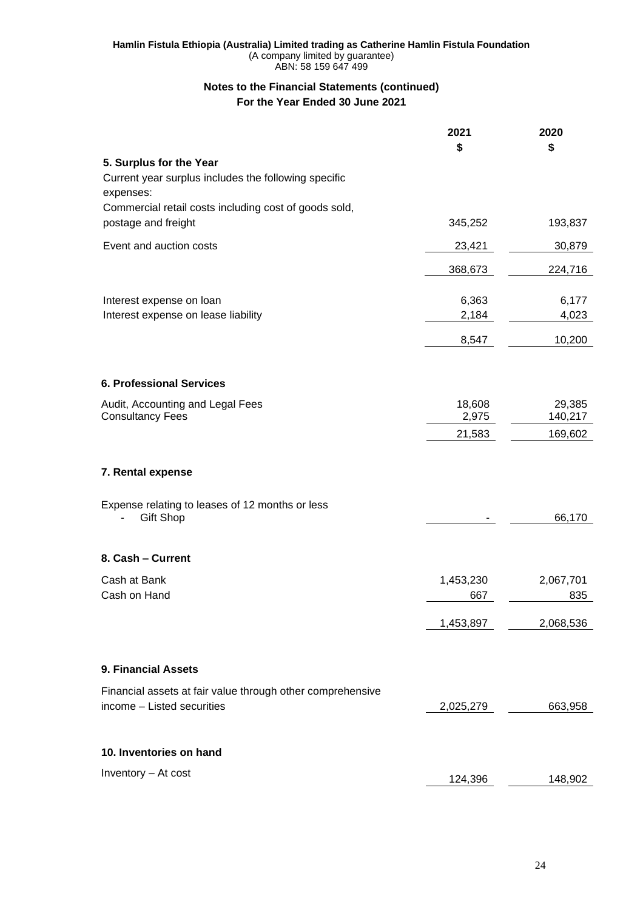#### **Hamlin Fistula Ethiopia (Australia) Limited trading as Catherine Hamlin Fistula Foundation** (A company limited by guarantee)

ABN: 58 159 647 499

## **Notes to the Financial Statements (continued) For the Year Ended 30 June 2021**

|                                                                   | 2021             | 2020             |
|-------------------------------------------------------------------|------------------|------------------|
|                                                                   | \$               | \$               |
| 5. Surplus for the Year                                           |                  |                  |
| Current year surplus includes the following specific<br>expenses: |                  |                  |
| Commercial retail costs including cost of goods sold,             |                  |                  |
| postage and freight                                               | 345,252          | 193,837          |
| Event and auction costs                                           | 23,421           | 30,879           |
|                                                                   | 368,673          | 224,716          |
| Interest expense on loan                                          | 6,363            | 6,177            |
| Interest expense on lease liability                               | 2,184            | 4,023            |
|                                                                   | 8,547            | 10,200           |
|                                                                   |                  |                  |
| <b>6. Professional Services</b>                                   |                  |                  |
| Audit, Accounting and Legal Fees                                  | 18,608           | 29,385           |
| <b>Consultancy Fees</b>                                           | 2,975            | 140,217          |
|                                                                   | 21,583           | 169,602          |
| 7. Rental expense                                                 |                  |                  |
| Expense relating to leases of 12 months or less                   |                  |                  |
| <b>Gift Shop</b>                                                  |                  | 66,170           |
| 8. Cash - Current                                                 |                  |                  |
|                                                                   |                  |                  |
| Cash at Bank<br>Cash on Hand                                      | 1,453,230<br>667 | 2,067,701<br>835 |
|                                                                   |                  |                  |
|                                                                   | 1,453,897        | 2,068,536        |
|                                                                   |                  |                  |
| 9. Financial Assets                                               |                  |                  |
| Financial assets at fair value through other comprehensive        |                  |                  |
| income - Listed securities                                        | 2,025,279        | 663,958          |
|                                                                   |                  |                  |
| 10. Inventories on hand                                           |                  |                  |
| Inventory - At cost                                               | 124,396          | 148,902          |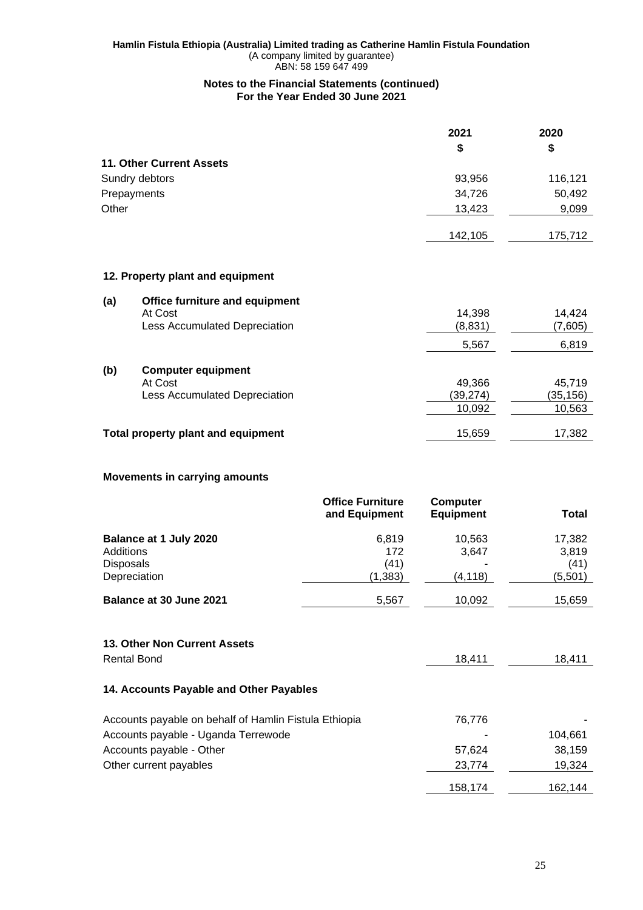#### **Hamlin Fistula Ethiopia (Australia) Limited trading as Catherine Hamlin Fistula Foundation** (A company limited by guarantee) ABN: 58 159 647 499

#### **Notes to the Financial Statements (continued) For the Year Ended 30 June 2021**

|       |                                           | 2021              | 2020              |
|-------|-------------------------------------------|-------------------|-------------------|
|       |                                           | \$                | \$                |
|       | <b>11. Other Current Assets</b>           |                   |                   |
|       | Sundry debtors                            | 93,956            | 116,121           |
|       | Prepayments                               | 34,726            | 50,492            |
| Other |                                           | 13,423            | 9,099             |
|       |                                           | 142,105           | 175,712           |
|       | 12. Property plant and equipment          |                   |                   |
|       |                                           |                   |                   |
| (a)   | Office furniture and equipment            |                   |                   |
|       | At Cost<br>Less Accumulated Depreciation  | 14,398<br>(8,831) | 14,424<br>(7,605) |
|       |                                           | 5,567             | 6,819             |
| (b)   | <b>Computer equipment</b>                 |                   |                   |
|       | At Cost                                   | 49,366            | 45,719            |
|       | Less Accumulated Depreciation             | (39,274)          | (35, 156)         |
|       |                                           | 10,092            | 10,563            |
|       | <b>Total property plant and equipment</b> | 15,659            | 17,382            |
|       |                                           |                   |                   |

## **Movements in carrying amounts**

|                                | <b>Office Furniture</b><br>and Equipment | <b>Computer</b><br><b>Equipment</b> | Total   |
|--------------------------------|------------------------------------------|-------------------------------------|---------|
| <b>Balance at 1 July 2020</b>  | 6,819                                    | 10,563                              | 17,382  |
| Additions                      | 172                                      | 3,647                               | 3,819   |
| <b>Disposals</b>               | (41)                                     |                                     | (41)    |
| Depreciation                   | (1, 383)                                 | (4, 118)                            | (5,501) |
| <b>Balance at 30 June 2021</b> | 5,567                                    | 10,092                              | 15,659  |

| 13. Other Non Current Assets                          |         |         |
|-------------------------------------------------------|---------|---------|
| Rental Bond                                           | 18,411  | 18,411  |
| 14. Accounts Payable and Other Payables               |         |         |
| Accounts payable on behalf of Hamlin Fistula Ethiopia | 76,776  |         |
| Accounts payable - Uganda Terrewode                   |         | 104,661 |
| Accounts payable - Other                              | 57,624  | 38,159  |
| Other current payables                                | 23,774  | 19,324  |
|                                                       | 158,174 | 162.144 |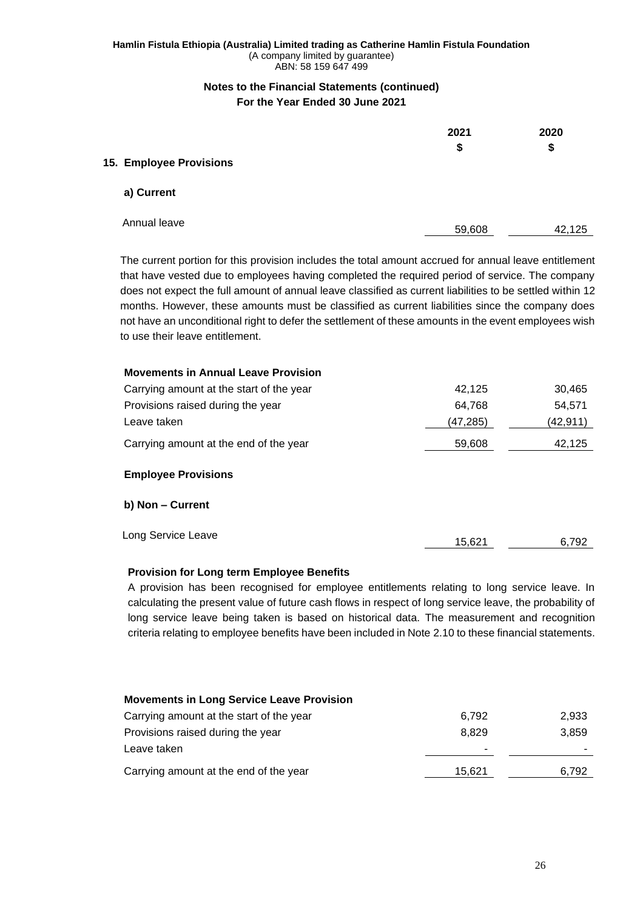| <b>15. Employee Provisions</b> | 2021<br>\$ | 2020<br>\$ |
|--------------------------------|------------|------------|
| a) Current                     |            |            |
| Annual leave                   | 59,608     | 42,125     |

The current portion for this provision includes the total amount accrued for annual leave entitlement that have vested due to employees having completed the required period of service. The company does not expect the full amount of annual leave classified as current liabilities to be settled within 12 months. However, these amounts must be classified as current liabilities since the company does not have an unconditional right to defer the settlement of these amounts in the event employees wish to use their leave entitlement.

| <b>Movements in Annual Leave Provision</b> |          |          |
|--------------------------------------------|----------|----------|
| Carrying amount at the start of the year   | 42,125   | 30,465   |
| Provisions raised during the year          | 64,768   | 54,571   |
| Leave taken                                | (47,285) | (42,911) |
| Carrying amount at the end of the year     | 59,608   | 42,125   |
| <b>Employee Provisions</b>                 |          |          |
| b) Non - Current                           |          |          |
| Long Service Leave                         | 15,621   | 6,792    |

## **Provision for Long term Employee Benefits**

A provision has been recognised for employee entitlements relating to long service leave. In calculating the present value of future cash flows in respect of long service leave, the probability of long service leave being taken is based on historical data. The measurement and recognition criteria relating to employee benefits have been included in Note 2.10 to these financial statements.

| <b>Movements in Long Service Leave Provision</b> |        |       |
|--------------------------------------------------|--------|-------|
| Carrying amount at the start of the year         | 6.792  | 2,933 |
| Provisions raised during the year                | 8.829  | 3,859 |
| Leave taken                                      | ۰      |       |
| Carrying amount at the end of the year           | 15.621 | 6.792 |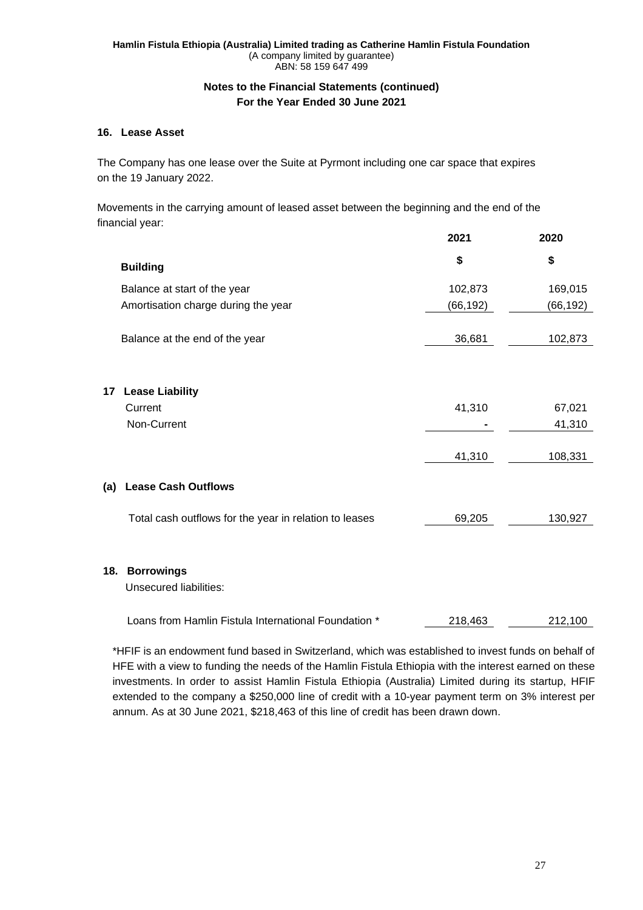## **16. Lease Asset**

The Company has one lease over the Suite at Pyrmont including one car space that expires on the 19 January 2022.

Movements in the carrying amount of leased asset between the beginning and the end of the financial year:

|     |                                                        | 2021      | 2020      |
|-----|--------------------------------------------------------|-----------|-----------|
|     | <b>Building</b>                                        | \$        | \$        |
|     | Balance at start of the year                           | 102,873   | 169,015   |
|     | Amortisation charge during the year                    | (66, 192) | (66, 192) |
|     |                                                        |           |           |
|     | Balance at the end of the year                         | 36,681    | 102,873   |
|     |                                                        |           |           |
| 17  | <b>Lease Liability</b>                                 |           |           |
|     | Current                                                | 41,310    | 67,021    |
|     | Non-Current                                            |           | 41,310    |
|     |                                                        |           |           |
|     |                                                        | 41,310    | 108,331   |
| (a) | <b>Lease Cash Outflows</b>                             |           |           |
|     |                                                        |           |           |
|     | Total cash outflows for the year in relation to leases | 69,205    | 130,927   |
|     |                                                        |           |           |
| 18. | <b>Borrowings</b>                                      |           |           |
|     | <b>Unsecured liabilities:</b>                          |           |           |
|     | Loans from Hamlin Fistula International Foundation *   | 218,463   | 212,100   |

\*HFIF is an endowment fund based in Switzerland, which was established to invest funds on behalf of HFE with a view to funding the needs of the Hamlin Fistula Ethiopia with the interest earned on these investments. In order to assist Hamlin Fistula Ethiopia (Australia) Limited during its startup, HFIF extended to the company a \$250,000 line of credit with a 10-year payment term on 3% interest per annum. As at 30 June 2021, \$218,463 of this line of credit has been drawn down.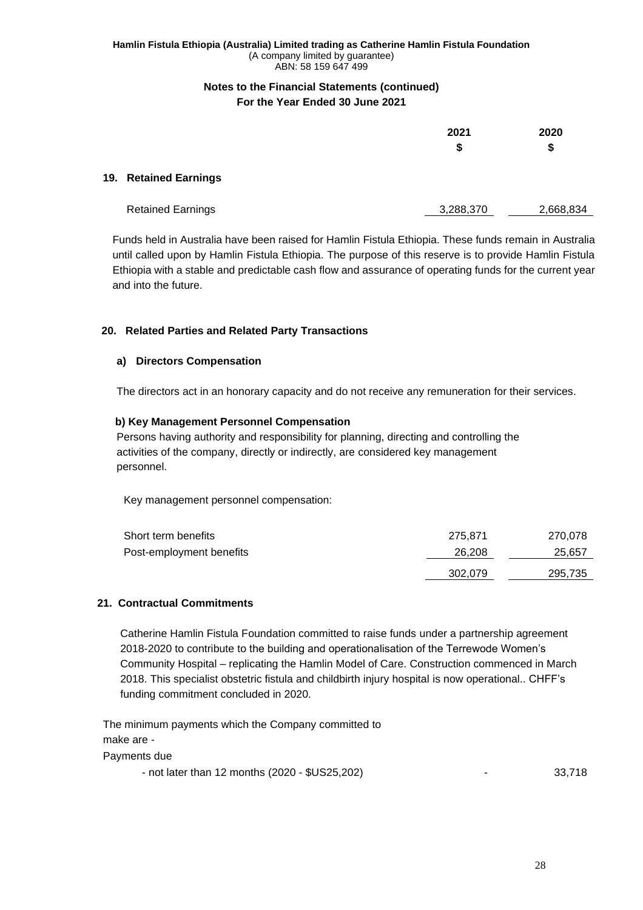|                          | 2021<br>\$ | 2020<br>\$ |
|--------------------------|------------|------------|
| 19. Retained Earnings    |            |            |
| <b>Retained Earnings</b> | 3,288,370  | 2,668,834  |

Funds held in Australia have been raised for Hamlin Fistula Ethiopia. These funds remain in Australia until called upon by Hamlin Fistula Ethiopia. The purpose of this reserve is to provide Hamlin Fistula Ethiopia with a stable and predictable cash flow and assurance of operating funds for the current year and into the future.

## **20. Related Parties and Related Party Transactions**

## **a) Directors Compensation**

The directors act in an honorary capacity and do not receive any remuneration for their services.

## **b) Key Management Personnel Compensation**

Persons having authority and responsibility for planning, directing and controlling the activities of the company, directly or indirectly, are considered key management personnel.

Key management personnel compensation:

| Short term benefits      | 275,871 | 270,078 |
|--------------------------|---------|---------|
| Post-employment benefits | 26,208  | 25,657  |
|                          | 302,079 | 295,735 |

### **21. Contractual Commitments**

Catherine Hamlin Fistula Foundation committed to raise funds under a partnership agreement 2018-2020 to contribute to the building and operationalisation of the Terrewode Women's Community Hospital – replicating the Hamlin Model of Care. Construction commenced in March 2018. This specialist obstetric fistula and childbirth injury hospital is now operational.. CHFF's funding commitment concluded in 2020.

The minimum payments which the Company committed to make are -

Payments due

- not later than 12 months (2020 - \$US25,202) - 33,718